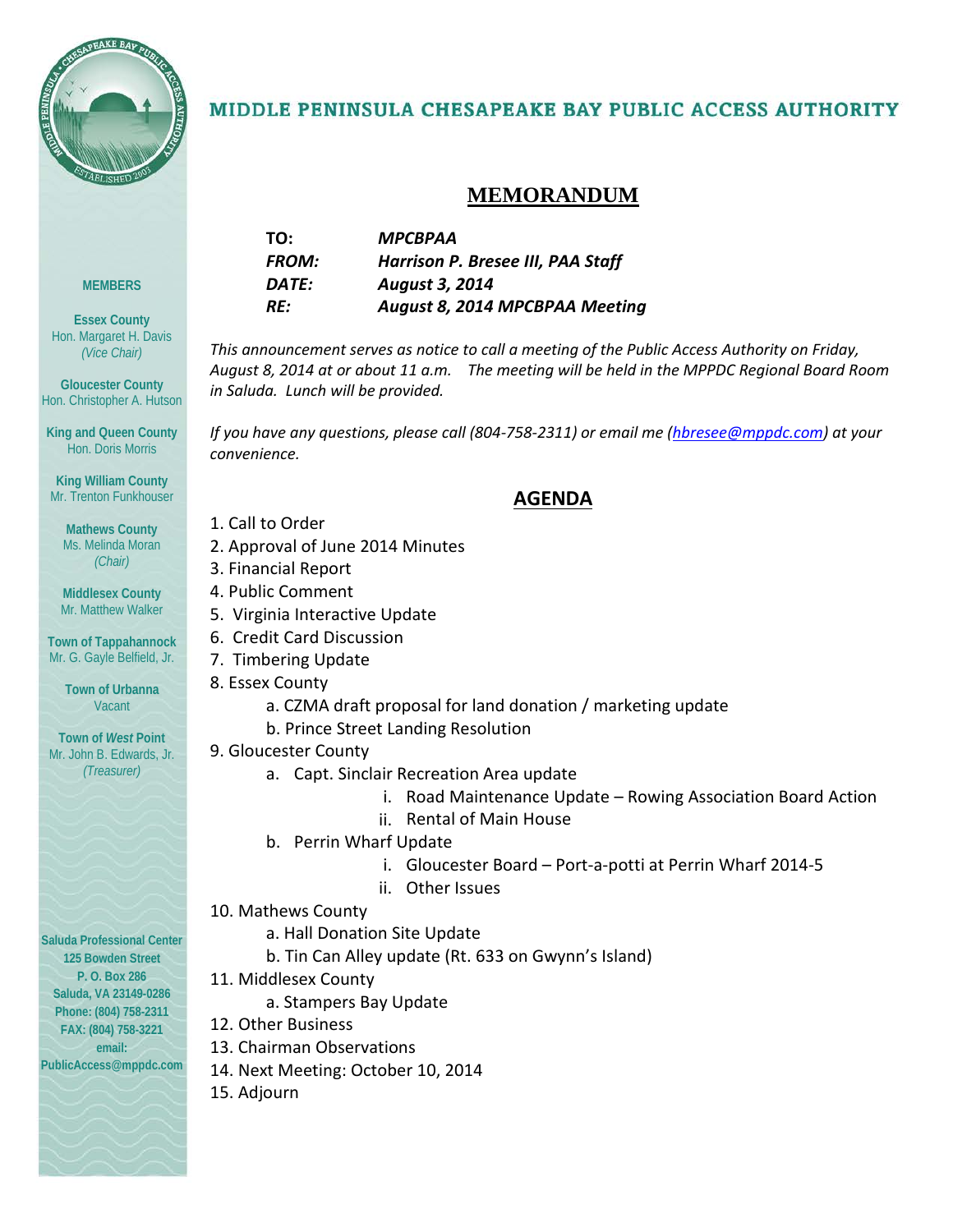

**MEMBERS**

**Essex County** Hon. Margaret H. Davis *(Vice Chair)*

**Gloucester County** Hon. Christopher A. Hutson

**King and Queen County** Hon. Doris Morris

**King William County** Mr. Trenton Funkhouser

**Mathews County** Ms. Melinda Moran *(Chair)*

**Middlesex County** Mr. Matthew Walker

**Town of Tappahannock** Mr. G. Gayle Belfield, Jr. **Town of Urbanna** Vacant

**Town of** *West* **Point** Mr. John B. Edwards, Jr. *(Treasurer)*

### MIDDLE PENINSULA CHESAPEAKE BAY PUBLIC ACCESS AUTHORITY

### **MEMORANDUM**

| TO:          | МРСВРАА                           |
|--------------|-----------------------------------|
| <b>FROM:</b> | Harrison P. Bresee III, PAA Staff |
| DATE:        | <b>August 3, 2014</b>             |
| RE:          | August 8, 2014 MPCBPAA Meeting    |
|              |                                   |

*This announcement serves as notice to call a meeting of the Public Access Authority on Friday, August 8, 2014 at or about 11 a.m. The meeting will be held in the MPPDC Regional Board Room in Saluda. Lunch will be provided.* 

*If you have any questions, please call (804-758-2311) or email me [\(hbresee@mppdc.com\)](mailto:hbresee@mppdc.com)* at your *convenience.* 

### **AGENDA**

- 1. Call to Order
- 2. Approval of June 2014 Minutes
- 3. Financial Report
- 4. Public Comment
- 5. Virginia Interactive Update
- 6. Credit Card Discussion
- 7. Timbering Update
- 8. Essex County
	- a. CZMA draft proposal for land donation / marketing update
	- b. Prince Street Landing Resolution
- 9. Gloucester County
	- a. Capt. Sinclair Recreation Area update
		- i. Road Maintenance Update Rowing Association Board Action
		- ii. Rental of Main House
	- b. Perrin Wharf Update
		- i. Gloucester Board Port-a-potti at Perrin Wharf 2014-5
		- ii. Other Issues
- 10. Mathews County
	- a. Hall Donation Site Update
	- b. Tin Can Alley update (Rt. 633 on Gwynn's Island)
- 11. Middlesex County
	- a. Stampers Bay Update
- 12. Other Business
- 13. Chairman Observations
- 14. Next Meeting: October 10, 2014
- 15. Adjourn

**Saluda Professional Center 125 Bowden Street P. O. Box 286 Saluda, VA 23149-0286 Phone: (804) 758-2311 FAX: (804) 758-3221 email:** 

**PublicAccess@mppdc.com**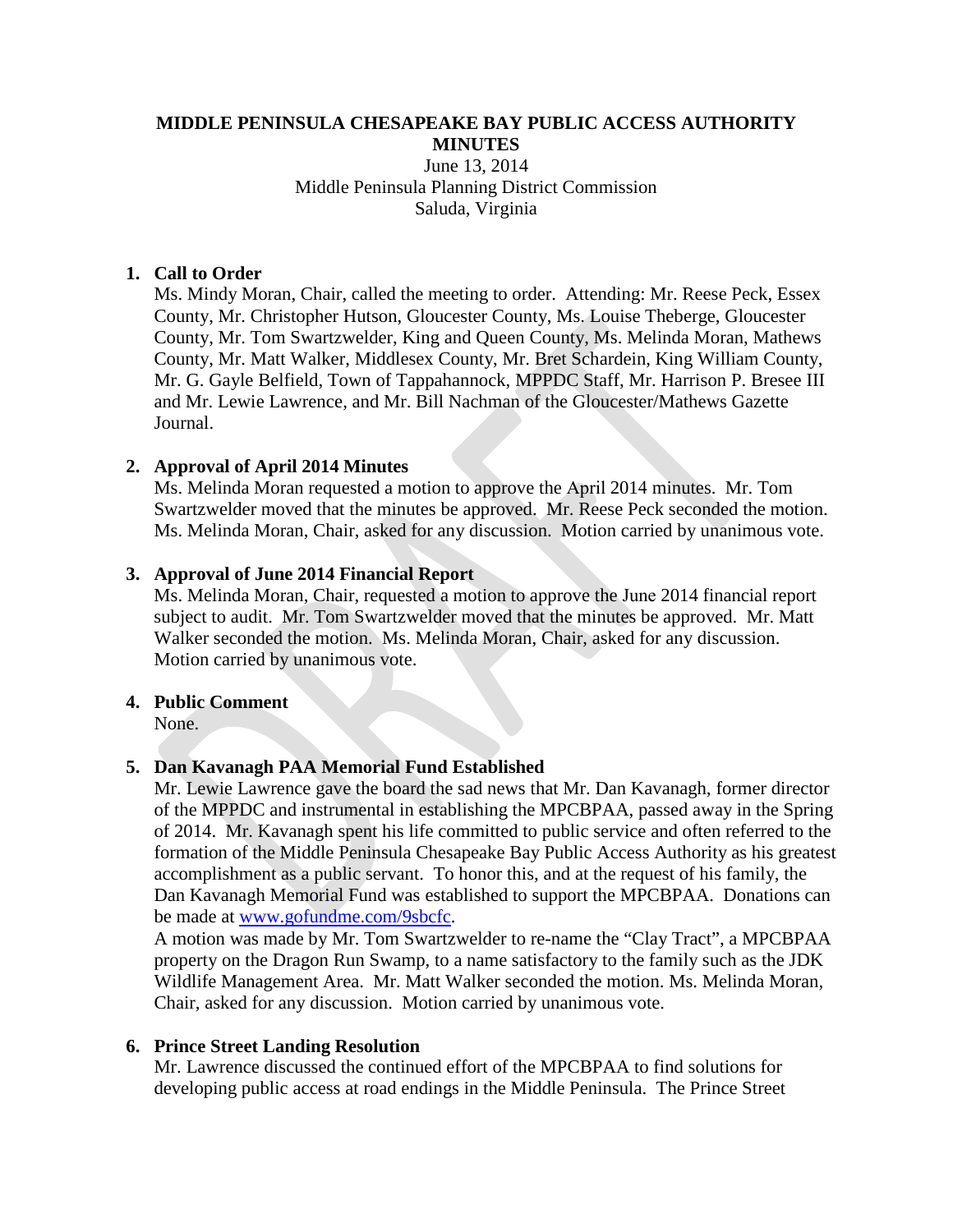### **MIDDLE PENINSULA CHESAPEAKE BAY PUBLIC ACCESS AUTHORITY MINUTES**

### June 13, 2014 Middle Peninsula Planning District Commission Saluda, Virginia

### **1. Call to Order**

Ms. Mindy Moran, Chair, called the meeting to order. Attending: Mr. Reese Peck, Essex County, Mr. Christopher Hutson, Gloucester County, Ms. Louise Theberge, Gloucester County, Mr. Tom Swartzwelder, King and Queen County, Ms. Melinda Moran, Mathews County, Mr. Matt Walker, Middlesex County, Mr. Bret Schardein, King William County, Mr. G. Gayle Belfield, Town of Tappahannock, MPPDC Staff, Mr. Harrison P. Bresee III and Mr. Lewie Lawrence, and Mr. Bill Nachman of the Gloucester/Mathews Gazette Journal.

### **2. Approval of April 2014 Minutes**

Ms. Melinda Moran requested a motion to approve the April 2014 minutes. Mr. Tom Swartzwelder moved that the minutes be approved. Mr. Reese Peck seconded the motion. Ms. Melinda Moran, Chair, asked for any discussion. Motion carried by unanimous vote.

### **3. Approval of June 2014 Financial Report**

Ms. Melinda Moran, Chair, requested a motion to approve the June 2014 financial report subject to audit. Mr. Tom Swartzwelder moved that the minutes be approved. Mr. Matt Walker seconded the motion. Ms. Melinda Moran, Chair, asked for any discussion. Motion carried by unanimous vote.

### **4. Public Comment**

None.

### **5. Dan Kavanagh PAA Memorial Fund Established**

Mr. Lewie Lawrence gave the board the sad news that Mr. Dan Kavanagh, former director of the MPPDC and instrumental in establishing the MPCBPAA, passed away in the Spring of 2014. Mr. Kavanagh spent his life committed to public service and often referred to the formation of the Middle Peninsula Chesapeake Bay Public Access Authority as his greatest accomplishment as a public servant. To honor this, and at the request of his family, the Dan Kavanagh Memorial Fund was established to support the MPCBPAA. Donations can be made at [www.gofundme.com/9sbcfc.](http://www.gofundme.com/9sbcfc)

A motion was made by Mr. Tom Swartzwelder to re-name the "Clay Tract", a MPCBPAA property on the Dragon Run Swamp, to a name satisfactory to the family such as the JDK Wildlife Management Area. Mr. Matt Walker seconded the motion. Ms. Melinda Moran, Chair, asked for any discussion. Motion carried by unanimous vote.

### **6. Prince Street Landing Resolution**

Mr. Lawrence discussed the continued effort of the MPCBPAA to find solutions for developing public access at road endings in the Middle Peninsula. The Prince Street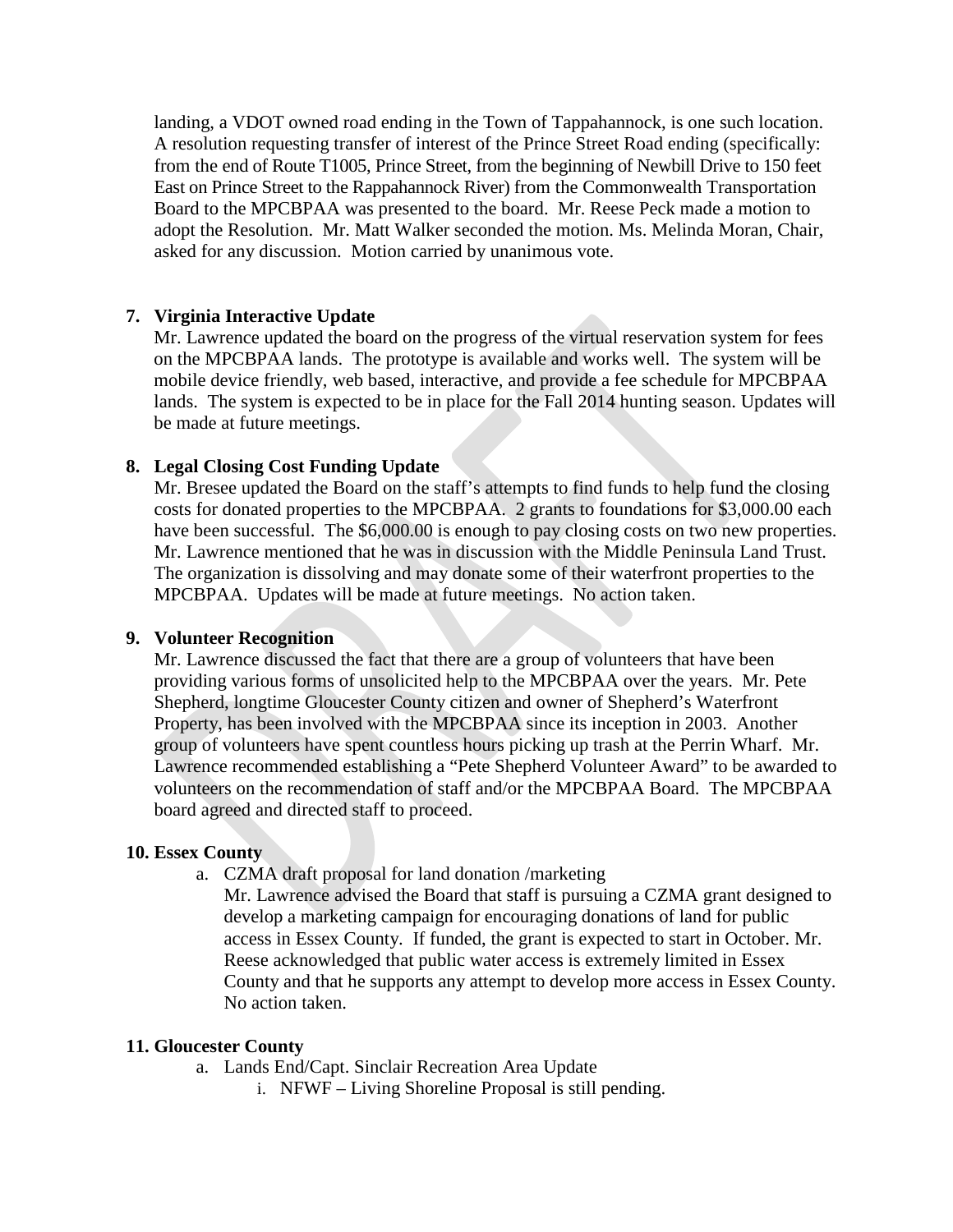landing, a VDOT owned road ending in the Town of Tappahannock, is one such location. A resolution requesting transfer of interest of the Prince Street Road ending (specifically: from the end of Route T1005, Prince Street, from the beginning of Newbill Drive to 150 feet East on Prince Street to the Rappahannock River) from the Commonwealth Transportation Board to the MPCBPAA was presented to the board. Mr. Reese Peck made a motion to adopt the Resolution. Mr. Matt Walker seconded the motion. Ms. Melinda Moran, Chair, asked for any discussion. Motion carried by unanimous vote.

### **7. Virginia Interactive Update**

Mr. Lawrence updated the board on the progress of the virtual reservation system for fees on the MPCBPAA lands. The prototype is available and works well. The system will be mobile device friendly, web based, interactive, and provide a fee schedule for MPCBPAA lands. The system is expected to be in place for the Fall 2014 hunting season. Updates will be made at future meetings.

### **8. Legal Closing Cost Funding Update**

Mr. Bresee updated the Board on the staff's attempts to find funds to help fund the closing costs for donated properties to the MPCBPAA. 2 grants to foundations for \$3,000.00 each have been successful. The \$6,000.00 is enough to pay closing costs on two new properties. Mr. Lawrence mentioned that he was in discussion with the Middle Peninsula Land Trust. The organization is dissolving and may donate some of their waterfront properties to the MPCBPAA. Updates will be made at future meetings. No action taken.

### **9. Volunteer Recognition**

Mr. Lawrence discussed the fact that there are a group of volunteers that have been providing various forms of unsolicited help to the MPCBPAA over the years. Mr. Pete Shepherd, longtime Gloucester County citizen and owner of Shepherd's Waterfront Property, has been involved with the MPCBPAA since its inception in 2003. Another group of volunteers have spent countless hours picking up trash at the Perrin Wharf. Mr. Lawrence recommended establishing a "Pete Shepherd Volunteer Award" to be awarded to volunteers on the recommendation of staff and/or the MPCBPAA Board. The MPCBPAA board agreed and directed staff to proceed.

### **10. Essex County**

a. CZMA draft proposal for land donation /marketing

Mr. Lawrence advised the Board that staff is pursuing a CZMA grant designed to develop a marketing campaign for encouraging donations of land for public access in Essex County. If funded, the grant is expected to start in October. Mr. Reese acknowledged that public water access is extremely limited in Essex County and that he supports any attempt to develop more access in Essex County. No action taken.

### **11. Gloucester County**

- a. Lands End/Capt. Sinclair Recreation Area Update
	- i. NFWF Living Shoreline Proposal is still pending.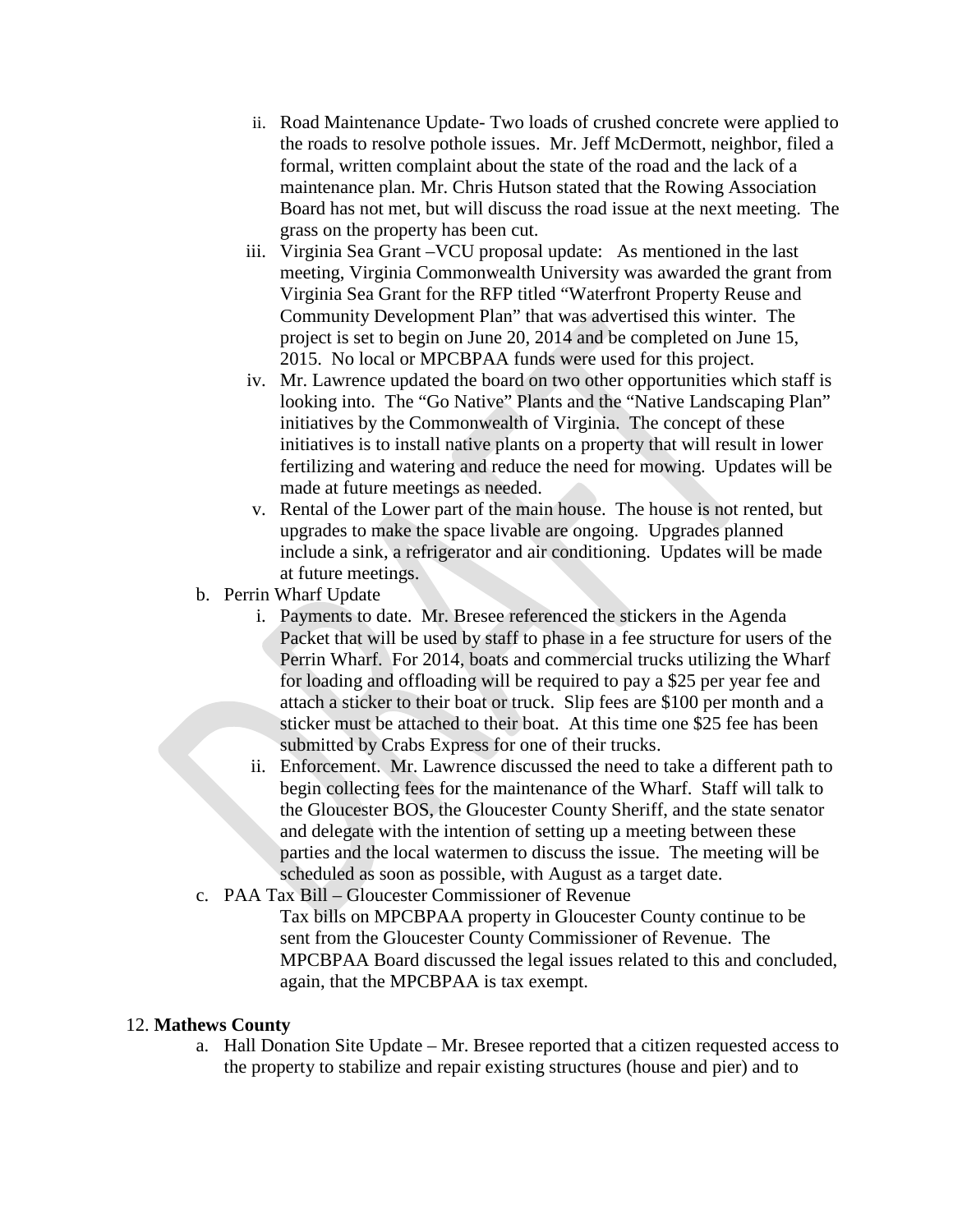- ii. Road Maintenance Update- Two loads of crushed concrete were applied to the roads to resolve pothole issues. Mr. Jeff McDermott, neighbor, filed a formal, written complaint about the state of the road and the lack of a maintenance plan. Mr. Chris Hutson stated that the Rowing Association Board has not met, but will discuss the road issue at the next meeting. The grass on the property has been cut.
- iii. Virginia Sea Grant –VCU proposal update: As mentioned in the last meeting, Virginia Commonwealth University was awarded the grant from Virginia Sea Grant for the RFP titled "Waterfront Property Reuse and Community Development Plan" that was advertised this winter. The project is set to begin on June 20, 2014 and be completed on June 15, 2015. No local or MPCBPAA funds were used for this project.
- iv. Mr. Lawrence updated the board on two other opportunities which staff is looking into. The "Go Native" Plants and the "Native Landscaping Plan" initiatives by the Commonwealth of Virginia. The concept of these initiatives is to install native plants on a property that will result in lower fertilizing and watering and reduce the need for mowing. Updates will be made at future meetings as needed.
- v. Rental of the Lower part of the main house. The house is not rented, but upgrades to make the space livable are ongoing. Upgrades planned include a sink, a refrigerator and air conditioning. Updates will be made at future meetings.
- b. Perrin Wharf Update
	- i. Payments to date. Mr. Bresee referenced the stickers in the Agenda Packet that will be used by staff to phase in a fee structure for users of the Perrin Wharf. For 2014, boats and commercial trucks utilizing the Wharf for loading and offloading will be required to pay a \$25 per year fee and attach a sticker to their boat or truck. Slip fees are \$100 per month and a sticker must be attached to their boat. At this time one \$25 fee has been submitted by Crabs Express for one of their trucks.
	- ii. Enforcement. Mr. Lawrence discussed the need to take a different path to begin collecting fees for the maintenance of the Wharf. Staff will talk to the Gloucester BOS, the Gloucester County Sheriff, and the state senator and delegate with the intention of setting up a meeting between these parties and the local watermen to discuss the issue. The meeting will be scheduled as soon as possible, with August as a target date.
- c. PAA Tax Bill Gloucester Commissioner of Revenue
	- Tax bills on MPCBPAA property in Gloucester County continue to be sent from the Gloucester County Commissioner of Revenue. The MPCBPAA Board discussed the legal issues related to this and concluded, again, that the MPCBPAA is tax exempt.

### 12. **Mathews County**

a. Hall Donation Site Update – Mr. Bresee reported that a citizen requested access to the property to stabilize and repair existing structures (house and pier) and to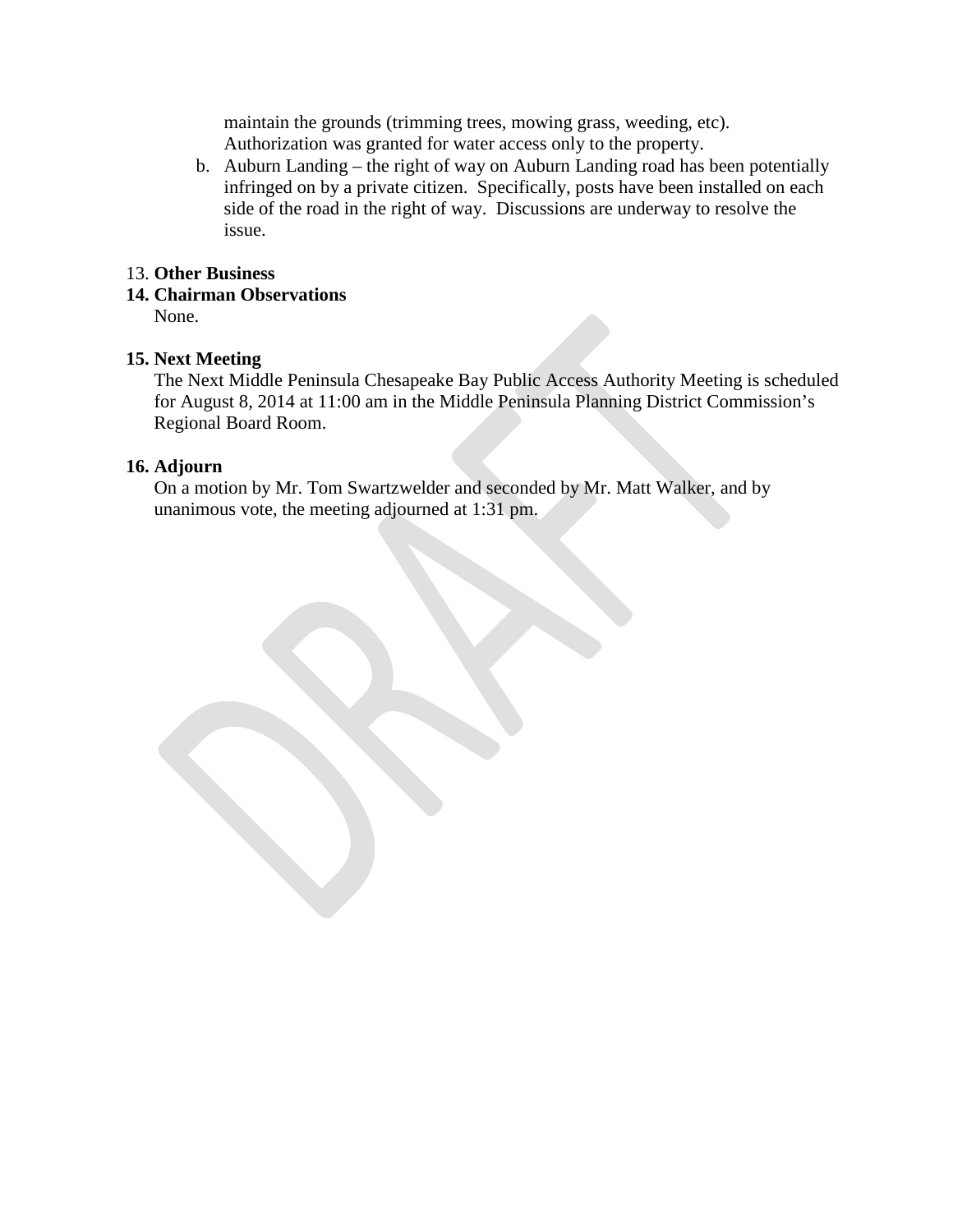maintain the grounds (trimming trees, mowing grass, weeding, etc). Authorization was granted for water access only to the property.

b. Auburn Landing – the right of way on Auburn Landing road has been potentially infringed on by a private citizen. Specifically, posts have been installed on each side of the road in the right of way. Discussions are underway to resolve the issue.

### 13. **Other Business**

**14. Chairman Observations**

None.

### **15. Next Meeting**

The Next Middle Peninsula Chesapeake Bay Public Access Authority Meeting is scheduled for August 8, 2014 at 11:00 am in the Middle Peninsula Planning District Commission's Regional Board Room.

### **16. Adjourn**

On a motion by Mr. Tom Swartzwelder and seconded by Mr. Matt Walker, and by unanimous vote, the meeting adjourned at 1:31 pm.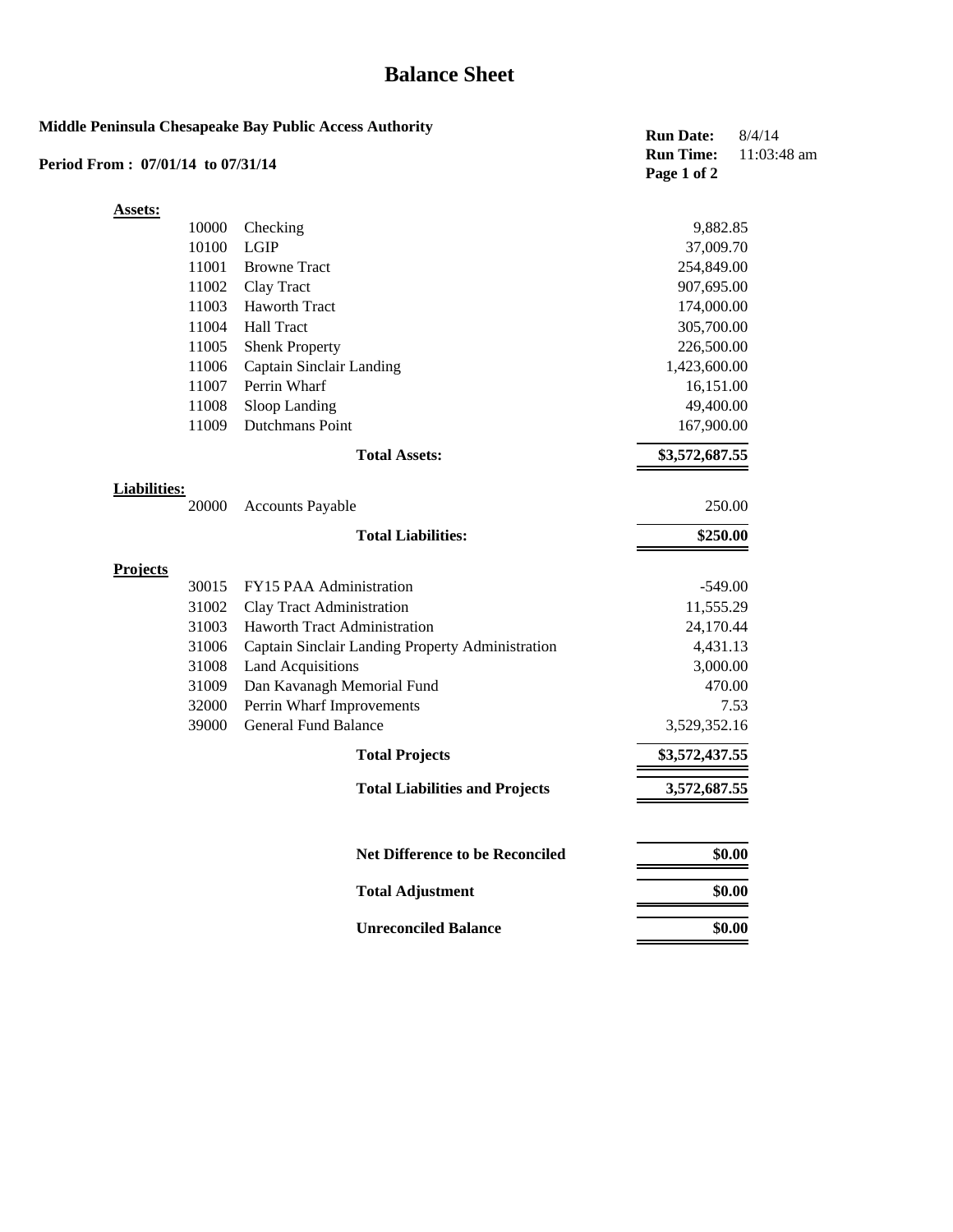## **Balance Sheet**

| Period From: 07/01/14 to 07/31/14 | Middle Peninsula Chesapeake Bay Public Access Authority  | <b>Run Date:</b><br><b>Run Time:</b><br>Page 1 of 2 | 8/4/14<br>11:03:48 am |
|-----------------------------------|----------------------------------------------------------|-----------------------------------------------------|-----------------------|
| <b>Assets:</b>                    |                                                          |                                                     |                       |
| 10000                             | Checking                                                 | 9,882.85                                            |                       |
| 10100                             | LGIP                                                     | 37,009.70                                           |                       |
| 11001                             | <b>Browne Tract</b>                                      | 254,849.00                                          |                       |
| 11002                             | Clay Tract                                               | 907,695.00                                          |                       |
| 11003                             | <b>Haworth Tract</b>                                     | 174,000.00                                          |                       |
| 11004                             | <b>Hall Tract</b>                                        | 305,700.00                                          |                       |
| 11005                             | <b>Shenk Property</b>                                    | 226,500.00                                          |                       |
| 11006                             | Captain Sinclair Landing                                 | 1,423,600.00                                        |                       |
| 11007                             | Perrin Wharf                                             | 16,151.00                                           |                       |
| 11008                             | Sloop Landing                                            | 49,400.00                                           |                       |
| 11009                             | Dutchmans Point                                          | 167,900.00                                          |                       |
|                                   | <b>Total Assets:</b>                                     | \$3,572,687.55                                      |                       |
| <b>Liabilities:</b>               |                                                          |                                                     |                       |
| 20000                             | <b>Accounts Payable</b>                                  | 250.00                                              |                       |
|                                   | <b>Total Liabilities:</b>                                | \$250.00                                            |                       |
| <b>Projects</b>                   |                                                          |                                                     |                       |
| 30015                             | FY15 PAA Administration                                  | $-549.00$                                           |                       |
| 31002                             | Clay Tract Administration                                | 11,555.29                                           |                       |
| 31003                             | Haworth Tract Administration                             | 24,170.44                                           |                       |
| 31006                             | Captain Sinclair Landing Property Administration         | 4,431.13                                            |                       |
| 31008                             | <b>Land Acquisitions</b>                                 | 3,000.00                                            |                       |
| 31009                             | Dan Kavanagh Memorial Fund                               | 470.00                                              |                       |
| 32000                             | Perrin Wharf Improvements<br><b>General Fund Balance</b> |                                                     | 7.53                  |
| 39000                             |                                                          | 3,529,352.16                                        |                       |
|                                   | <b>Total Projects</b>                                    | \$3,572,437.55                                      |                       |
|                                   | <b>Total Liabilities and Projects</b>                    | 3,572,687.55                                        |                       |
|                                   | <b>Net Difference to be Reconciled</b>                   |                                                     | \$0.00                |
|                                   | <b>Total Adjustment</b>                                  |                                                     | \$0.00                |
|                                   | <b>Unreconciled Balance</b>                              |                                                     | \$0.00                |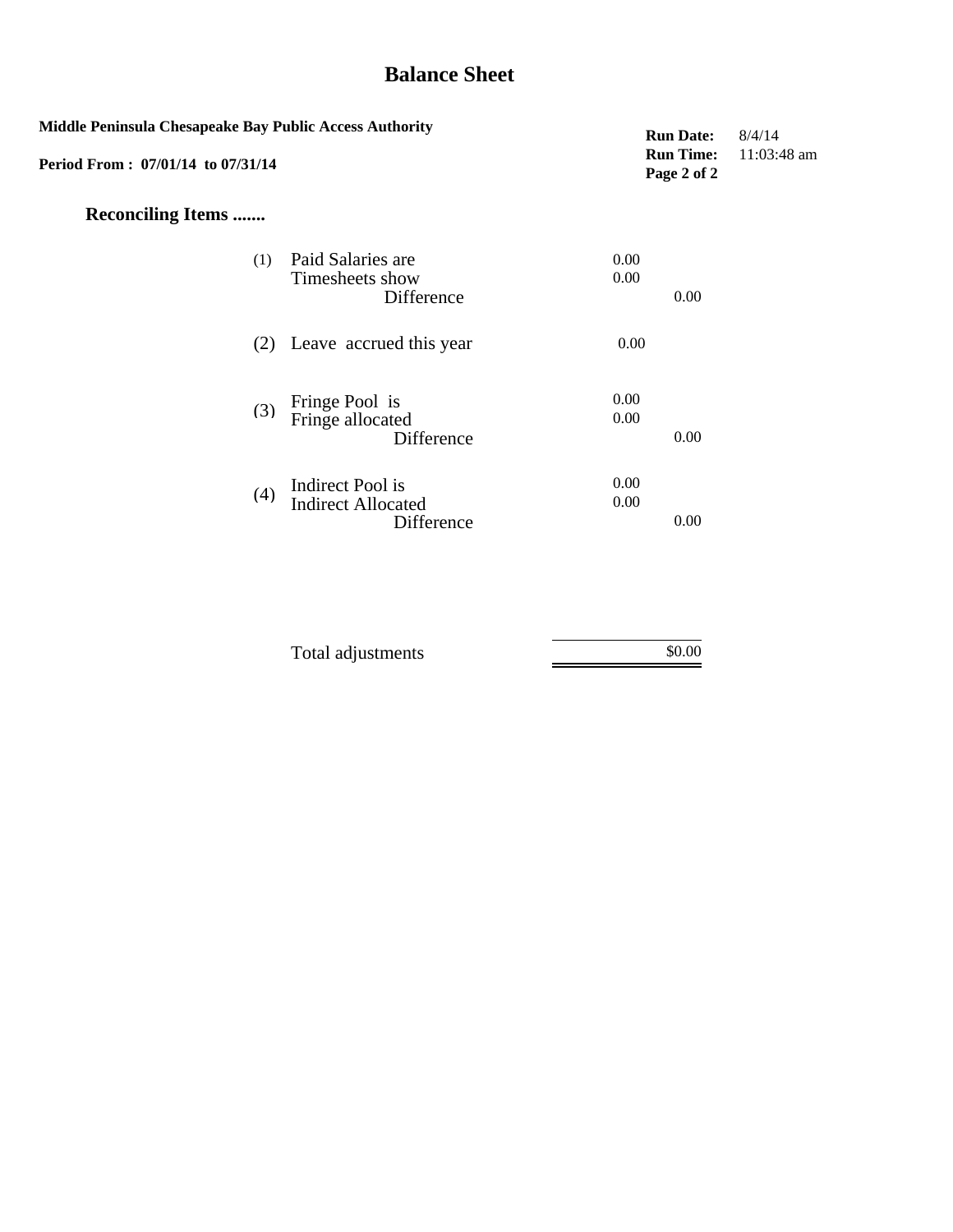## **Balance Sheet**

| <b>Middle Peninsula Chesapeake Bay Public Access Authority</b><br>Period From: 07/01/14 to 07/31/14 | <b>Run Date:</b><br><b>Run Time:</b><br>Page 2 of 2         | 8/4/14<br>$11:03:48$ am |  |
|-----------------------------------------------------------------------------------------------------|-------------------------------------------------------------|-------------------------|--|
| <b>Reconciling Items </b>                                                                           |                                                             |                         |  |
| (1)                                                                                                 | Paid Salaries are<br>Timesheets show<br>Difference          | 0.00<br>0.00<br>0.00    |  |
|                                                                                                     | (2) Leave accrued this year                                 | 0.00                    |  |
| (3)                                                                                                 | Fringe Pool is<br>Fringe allocated<br>Difference            | 0.00<br>0.00<br>0.00    |  |
| (4)                                                                                                 | Indirect Pool is<br><b>Indirect Allocated</b><br>Difference | 0.00<br>0.00<br>0.00    |  |

| Total adjustments | \$0.00 |
|-------------------|--------|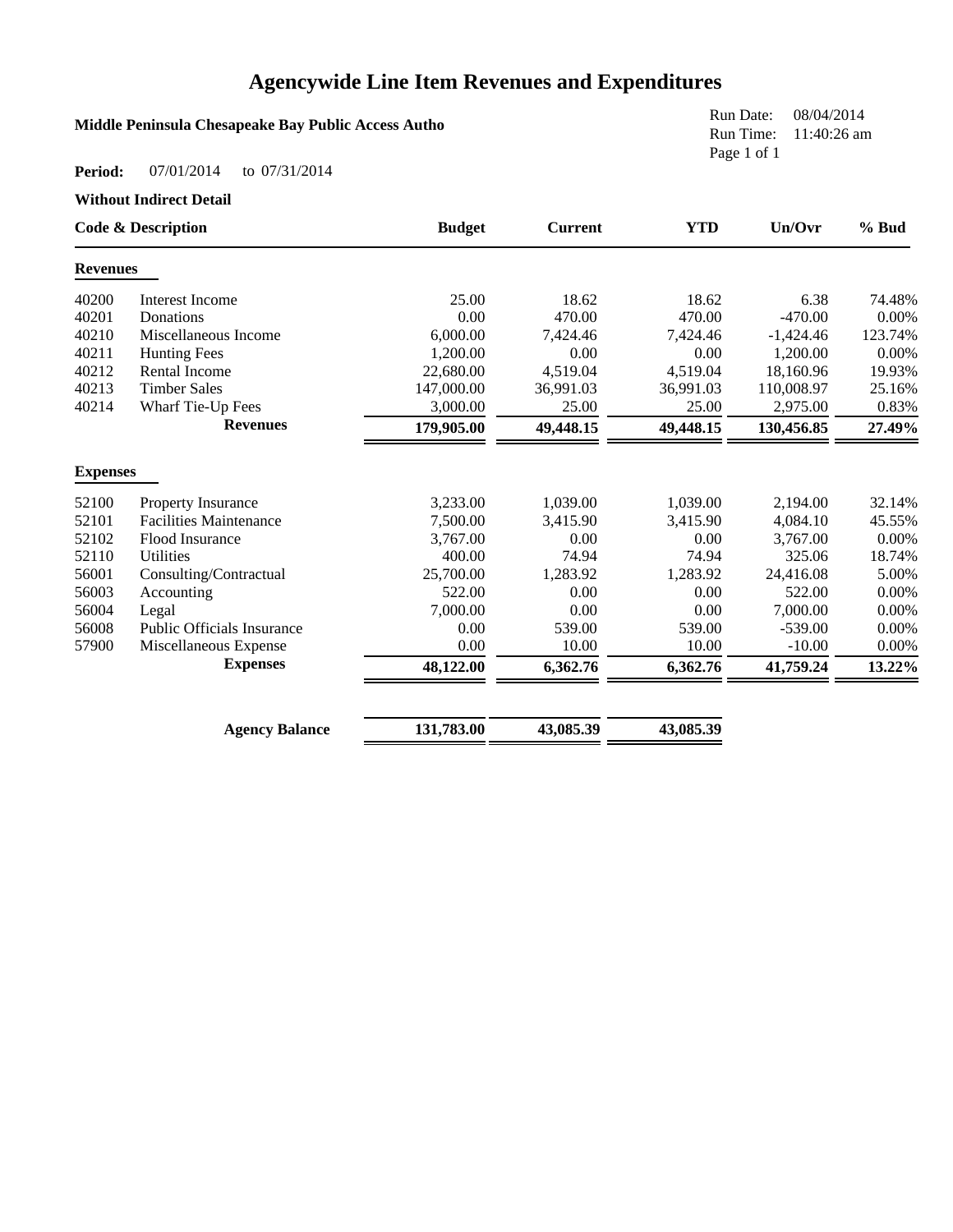## **Agencywide Line Item Revenues and Expenditures**

### **Middle Peninsula Chesapeake Bay Public Access Autho**

Run Date: 08/04/2014 Run Time: 11:40:26 am Page 1 of 1

#### **Period:** 07/01/2014 to 07/31/2014

**Without Indirect Detail**

| <b>Code &amp; Description</b> |                                   | <b>Budget</b> | <b>Current</b> | <b>YTD</b> | Un/Ovr      | % Bud   |
|-------------------------------|-----------------------------------|---------------|----------------|------------|-------------|---------|
| <b>Revenues</b>               |                                   |               |                |            |             |         |
| 40200                         | Interest Income                   | 25.00         | 18.62          | 18.62      | 6.38        | 74.48%  |
| 40201                         | Donations                         | 0.00          | 470.00         | 470.00     | $-470.00$   | 0.00%   |
| 40210                         | Miscellaneous Income              | 6,000.00      | 7,424.46       | 7,424.46   | $-1,424.46$ | 123.74% |
| 40211                         | <b>Hunting Fees</b>               | 1.200.00      | 0.00           | 0.00       | 1,200.00    | 0.00%   |
| 40212                         | <b>Rental Income</b>              | 22,680.00     | 4,519.04       | 4.519.04   | 18,160.96   | 19.93%  |
| 40213                         | <b>Timber Sales</b>               | 147,000.00    | 36,991.03      | 36,991.03  | 110,008.97  | 25.16%  |
| 40214                         | Wharf Tie-Up Fees                 | 3,000.00      | 25.00          | 25.00      | 2,975.00    | 0.83%   |
|                               | <b>Revenues</b>                   | 179,905.00    | 49,448.15      | 49,448.15  | 130,456.85  | 27.49%  |
| <b>Expenses</b>               |                                   |               |                |            |             |         |
| 52100                         | Property Insurance                | 3,233.00      | 1,039.00       | 1,039.00   | 2,194.00    | 32.14%  |
| 52101                         | <b>Facilities Maintenance</b>     | 7,500.00      | 3,415.90       | 3,415.90   | 4,084.10    | 45.55%  |
| 52102                         | Flood Insurance                   | 3,767.00      | 0.00           | 0.00       | 3,767.00    | 0.00%   |
| 52110                         | <b>Utilities</b>                  | 400.00        | 74.94          | 74.94      | 325.06      | 18.74%  |
| 56001                         | Consulting/Contractual            | 25,700.00     | 1,283.92       | 1,283.92   | 24,416.08   | 5.00%   |
| 56003                         | Accounting                        | 522.00        | 0.00           | 0.00       | 522.00      | 0.00%   |
| 56004                         | Legal                             | 7,000.00      | 0.00           | 0.00       | 7,000.00    | 0.00%   |
| 56008                         | <b>Public Officials Insurance</b> | 0.00          | 539.00         | 539.00     | $-539.00$   | 0.00%   |
| 57900                         | Miscellaneous Expense             | 0.00          | 10.00          | 10.00      | $-10.00$    | 0.00%   |
|                               | <b>Expenses</b>                   | 48,122.00     | 6,362.76       | 6,362.76   | 41,759.24   | 13.22%  |
|                               | <b>Agency Balance</b>             | 131,783.00    | 43,085.39      | 43,085.39  |             |         |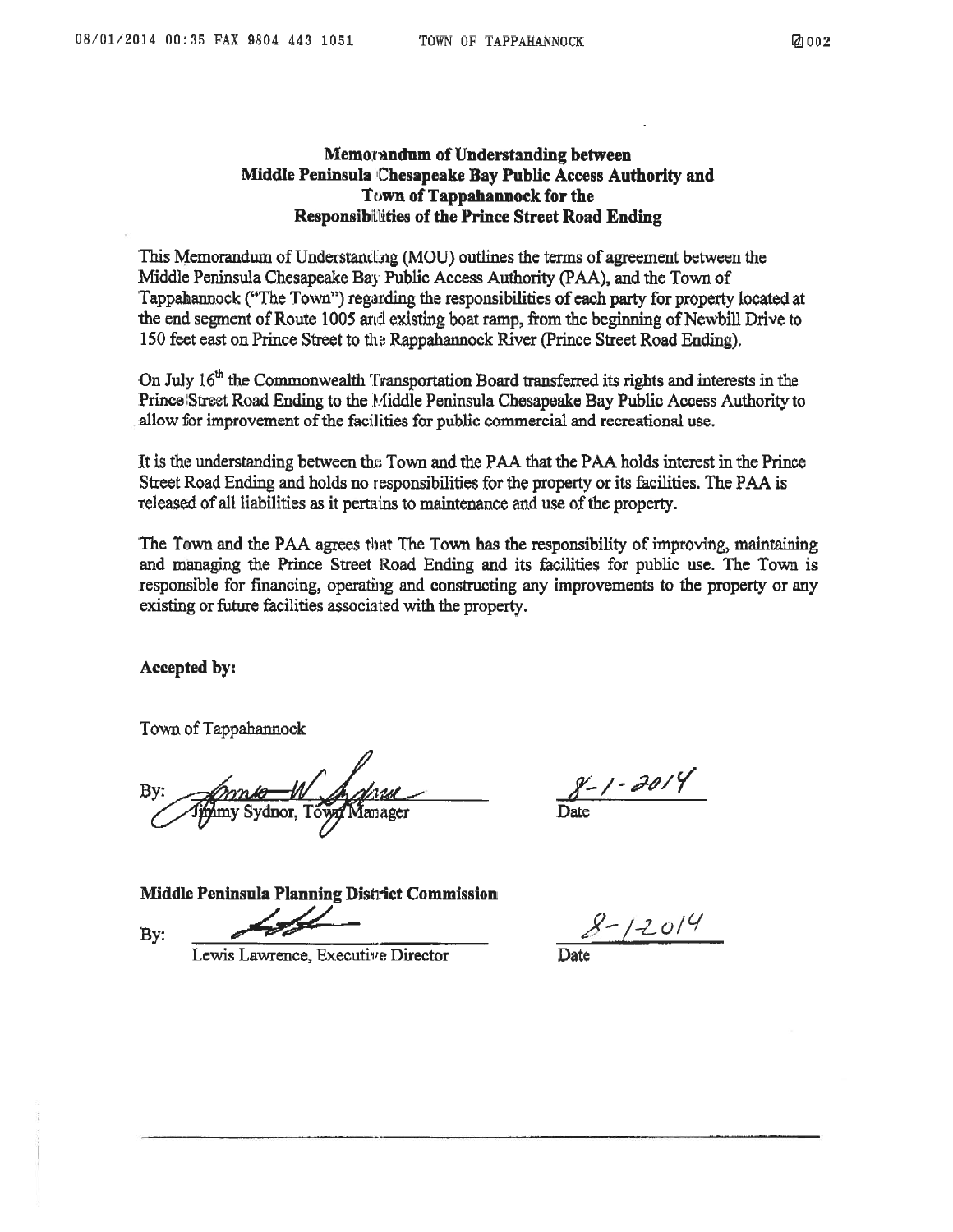#### Memorandum of Understanding between Middle Peninsula Chesapeake Bay Public Access Authority and Town of Tappahannock for the **Responsibilities of the Prince Street Road Ending**

This Memorandum of Understanding (MOU) outlines the terms of agreement between the Middle Peninsula Chesapeake Bay Public Access Authority (PAA), and the Town of Tappahannock ("The Town") regarding the responsibilities of each party for property located at the end segment of Route 1005 and existing boat ramp, from the beginning of Newbill Drive to 150 feet east on Prince Street to the Rappahannock River (Prince Street Road Ending).

On July 16<sup>th</sup> the Commonwealth Transportation Board transferred its rights and interests in the Prince Street Road Ending to the Middle Peninsula Chesapeake Bay Public Access Authority to allow for improvement of the facilities for public commercial and recreational use.

It is the understanding between the Town and the PAA that the PAA holds interest in the Prince Street Road Ending and holds no responsibilities for the property or its facilities. The PAA is released of all liabilities as it pertains to maintenance and use of the property.

The Town and the PAA agrees that The Town has the responsibility of improving, maintaining and managing the Prince Street Road Ending and its facilities for public use. The Town is responsible for financing, operating and constructing any improvements to the property or any existing or future facilities associated with the property.

Accepted by:

Town of Tappahannock

 $8 - 1 - 2014$ 

Middle Peninsula Planning District Commission By:

 $8 - 12014$ 

Lewis Lawrence, Executive Director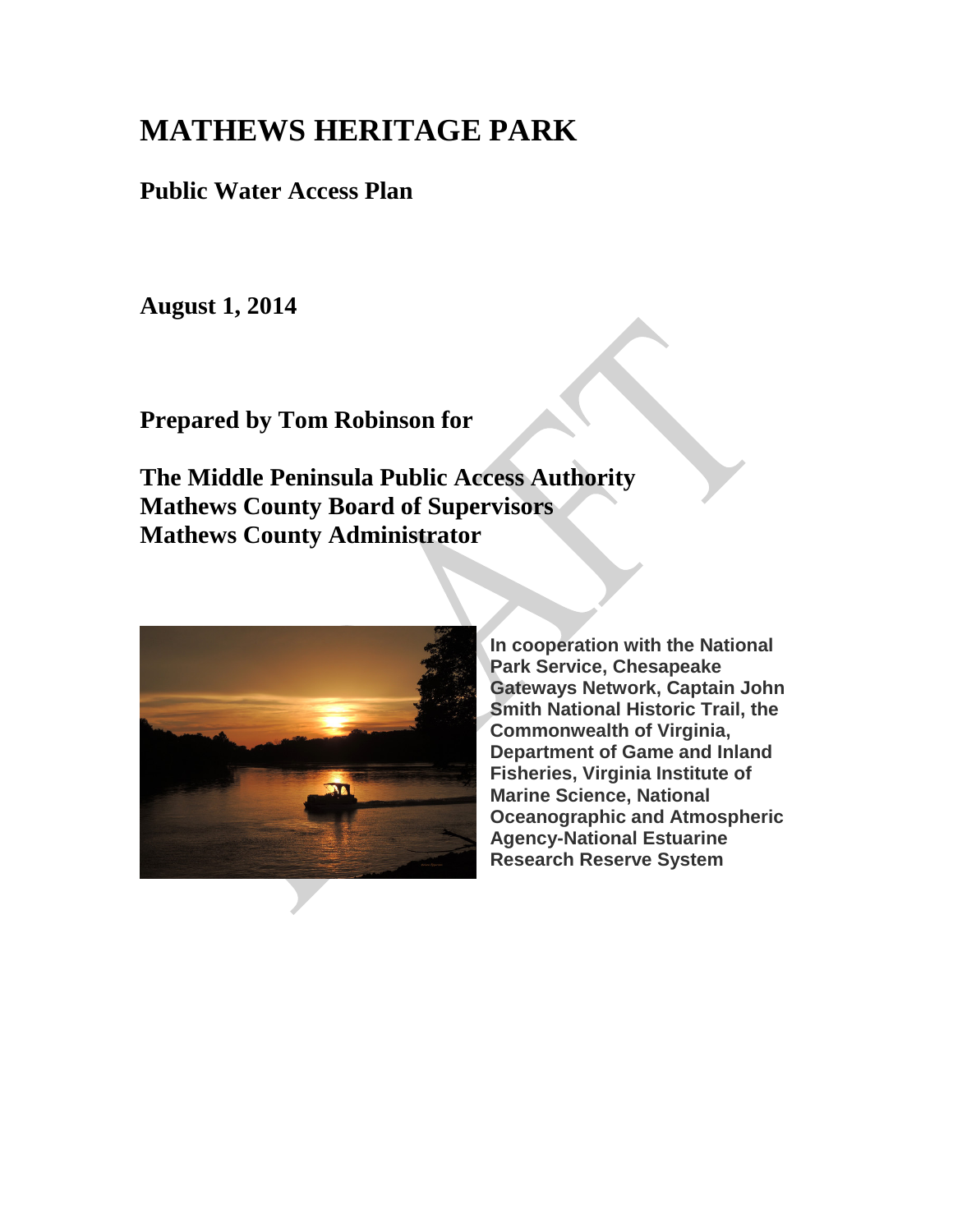# **MATHEWS HERITAGE PARK**

**Public Water Access Plan**

**August 1, 2014**

**Prepared by Tom Robinson for**

**The Middle Peninsula Public Access Authority Mathews County Board of Supervisors Mathews County Administrator**



**In cooperation with the National Park Service, Chesapeake Gateways Network, Captain John Smith National Historic Trail, the Commonwealth of Virginia, Department of Game and Inland Fisheries, Virginia Institute of Marine Science, National Oceanographic and Atmospheric Agency-National Estuarine Research Reserve System**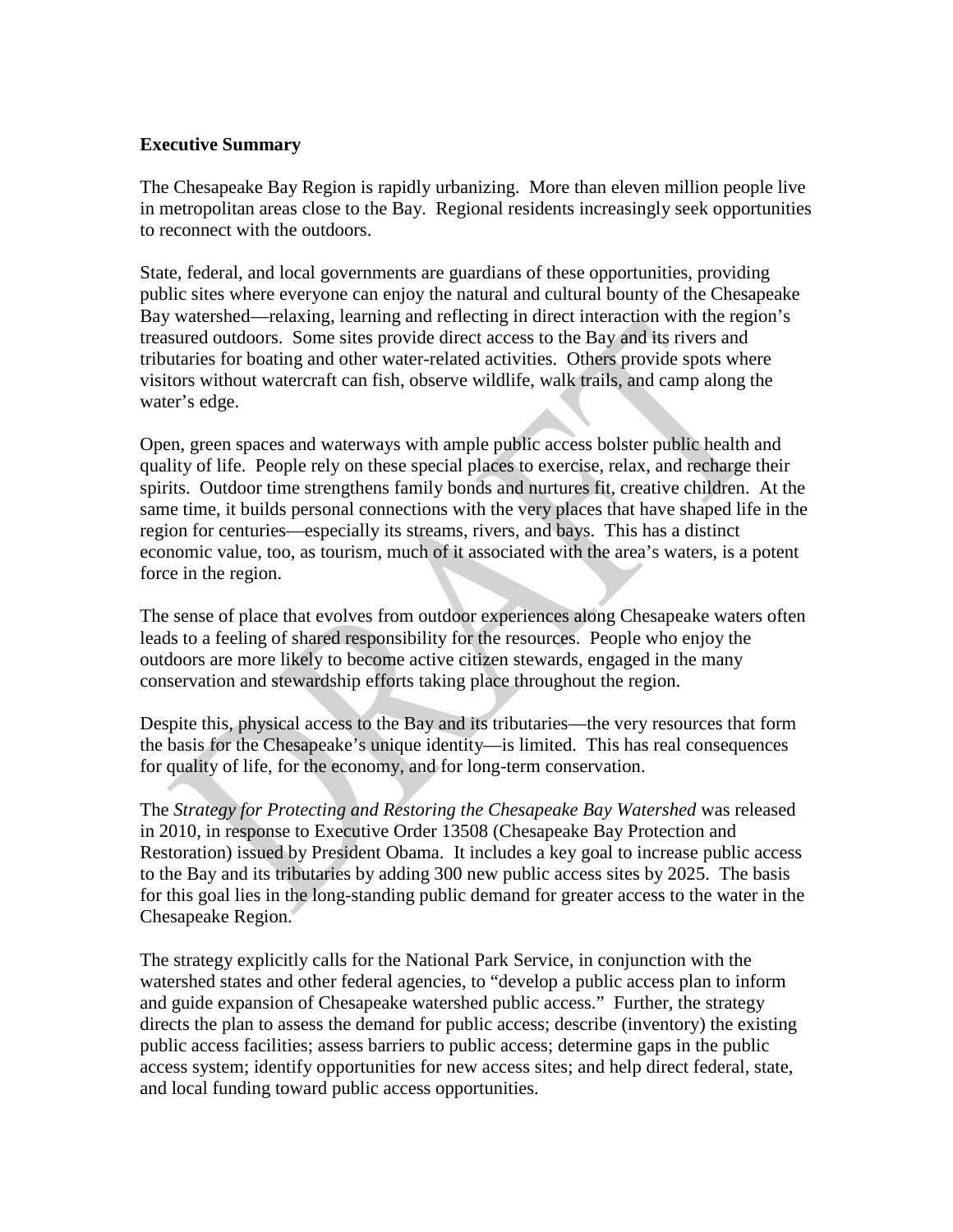### **Executive Summary**

The Chesapeake Bay Region is rapidly urbanizing. More than eleven million people live in metropolitan areas close to the Bay. Regional residents increasingly seek opportunities to reconnect with the outdoors.

State, federal, and local governments are guardians of these opportunities, providing public sites where everyone can enjoy the natural and cultural bounty of the Chesapeake Bay watershed—relaxing, learning and reflecting in direct interaction with the region's treasured outdoors. Some sites provide direct access to the Bay and its rivers and tributaries for boating and other water-related activities. Others provide spots where visitors without watercraft can fish, observe wildlife, walk trails, and camp along the water's edge.

Open, green spaces and waterways with ample public access bolster public health and quality of life. People rely on these special places to exercise, relax, and recharge their spirits. Outdoor time strengthens family bonds and nurtures fit, creative children. At the same time, it builds personal connections with the very places that have shaped life in the region for centuries—especially its streams, rivers, and bays. This has a distinct economic value, too, as tourism, much of it associated with the area's waters, is a potent force in the region.

The sense of place that evolves from outdoor experiences along Chesapeake waters often leads to a feeling of shared responsibility for the resources. People who enjoy the outdoors are more likely to become active citizen stewards, engaged in the many conservation and stewardship efforts taking place throughout the region.

Despite this, physical access to the Bay and its tributaries—the very resources that form the basis for the Chesapeake's unique identity—is limited. This has real consequences for quality of life, for the economy, and for long-term conservation.

The *Strategy for Protecting and Restoring the Chesapeake Bay Watershed* was released in 2010, in response to Executive Order 13508 (Chesapeake Bay Protection and Restoration) issued by President Obama. It includes a key goal to increase public access to the Bay and its tributaries by adding 300 new public access sites by 2025. The basis for this goal lies in the long-standing public demand for greater access to the water in the Chesapeake Region.

The strategy explicitly calls for the National Park Service, in conjunction with the watershed states and other federal agencies, to "develop a public access plan to inform and guide expansion of Chesapeake watershed public access." Further, the strategy directs the plan to assess the demand for public access; describe (inventory) the existing public access facilities; assess barriers to public access; determine gaps in the public access system; identify opportunities for new access sites; and help direct federal, state, and local funding toward public access opportunities.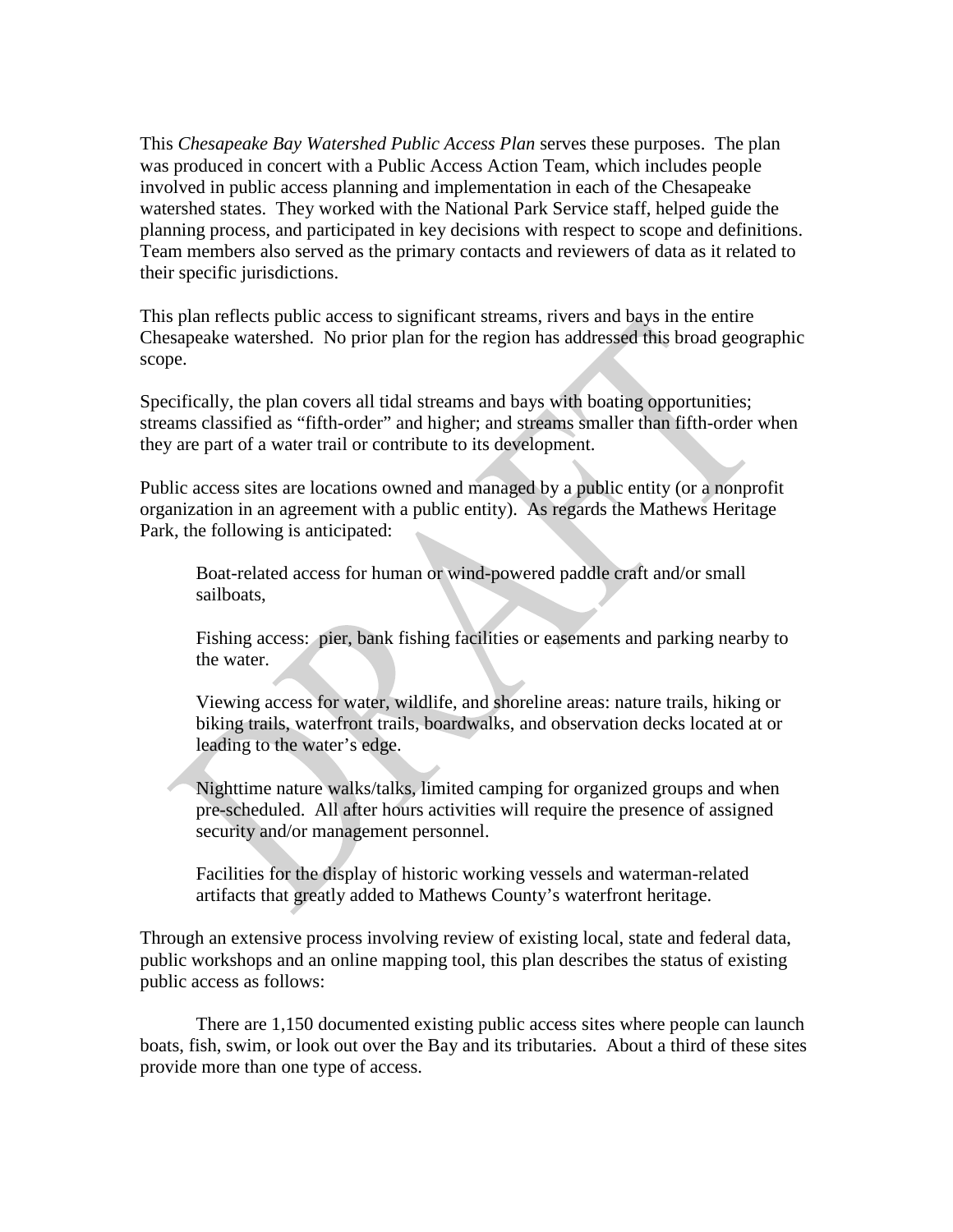This *Chesapeake Bay Watershed Public Access Plan* serves these purposes. The plan was produced in concert with a Public Access Action Team, which includes people involved in public access planning and implementation in each of the Chesapeake watershed states. They worked with the National Park Service staff, helped guide the planning process, and participated in key decisions with respect to scope and definitions. Team members also served as the primary contacts and reviewers of data as it related to their specific jurisdictions.

This plan reflects public access to significant streams, rivers and bays in the entire Chesapeake watershed. No prior plan for the region has addressed this broad geographic scope.

Specifically, the plan covers all tidal streams and bays with boating opportunities; streams classified as "fifth-order" and higher; and streams smaller than fifth-order when they are part of a water trail or contribute to its development.

Public access sites are locations owned and managed by a public entity (or a nonprofit organization in an agreement with a public entity). As regards the Mathews Heritage Park, the following is anticipated:

Boat-related access for human or wind-powered paddle craft and/or small sailboats,

Fishing access: pier, bank fishing facilities or easements and parking nearby to the water.

Viewing access for water, wildlife, and shoreline areas: nature trails, hiking or biking trails, waterfront trails, boardwalks, and observation decks located at or leading to the water's edge.

Nighttime nature walks/talks, limited camping for organized groups and when pre-scheduled. All after hours activities will require the presence of assigned security and/or management personnel.

Facilities for the display of historic working vessels and waterman-related artifacts that greatly added to Mathews County's waterfront heritage.

Through an extensive process involving review of existing local, state and federal data, public workshops and an online mapping tool, this plan describes the status of existing public access as follows:

There are 1,150 documented existing public access sites where people can launch boats, fish, swim, or look out over the Bay and its tributaries. About a third of these sites provide more than one type of access.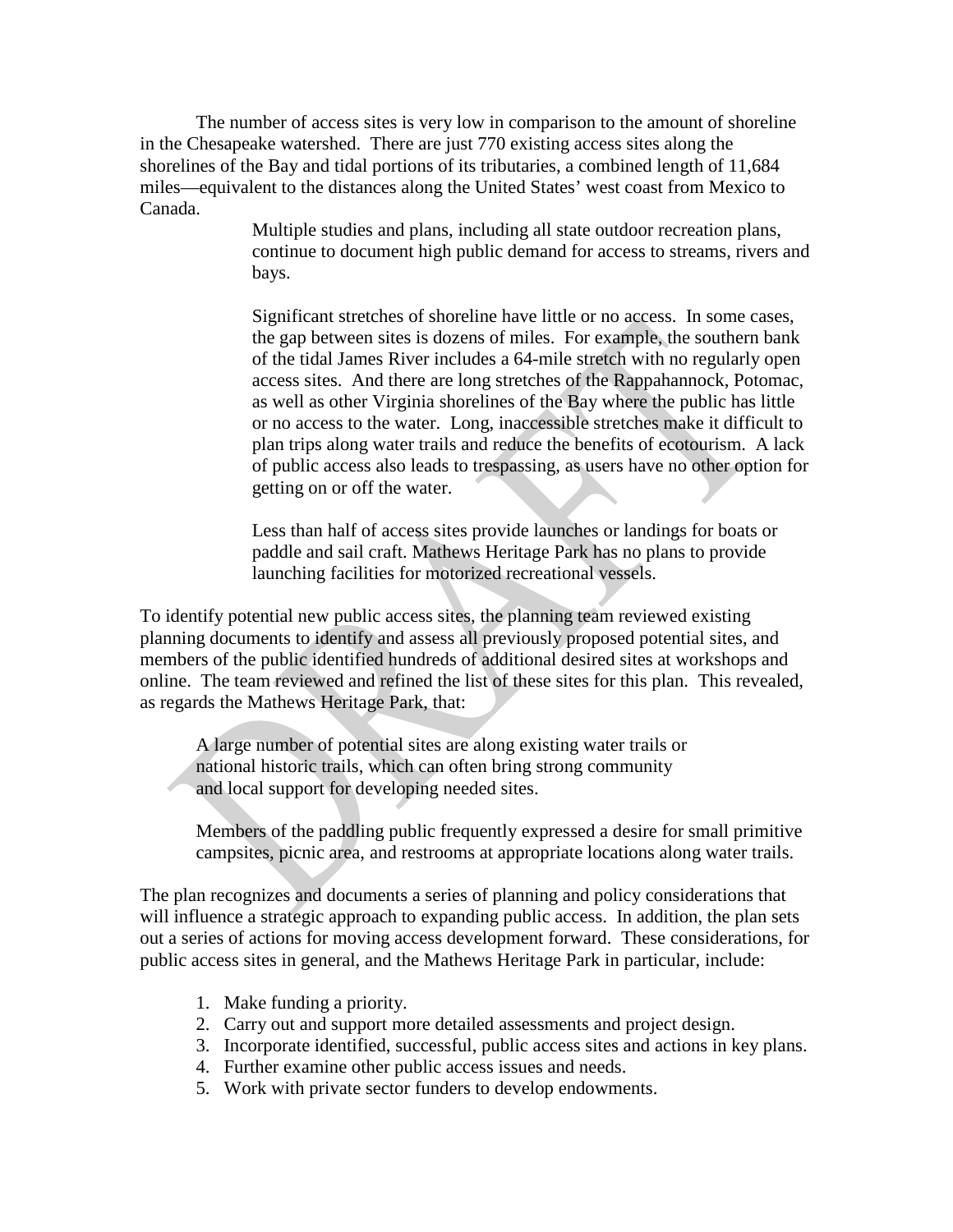The number of access sites is very low in comparison to the amount of shoreline in the Chesapeake watershed. There are just 770 existing access sites along the shorelines of the Bay and tidal portions of its tributaries, a combined length of 11,684 miles—equivalent to the distances along the United States' west coast from Mexico to Canada.

> Multiple studies and plans, including all state outdoor recreation plans, continue to document high public demand for access to streams, rivers and bays.

> Significant stretches of shoreline have little or no access. In some cases, the gap between sites is dozens of miles. For example, the southern bank of the tidal James River includes a 64-mile stretch with no regularly open access sites. And there are long stretches of the Rappahannock, Potomac, as well as other Virginia shorelines of the Bay where the public has little or no access to the water. Long, inaccessible stretches make it difficult to plan trips along water trails and reduce the benefits of ecotourism. A lack of public access also leads to trespassing, as users have no other option for getting on or off the water.

Less than half of access sites provide launches or landings for boats or paddle and sail craft. Mathews Heritage Park has no plans to provide launching facilities for motorized recreational vessels.

To identify potential new public access sites, the planning team reviewed existing planning documents to identify and assess all previously proposed potential sites, and members of the public identified hundreds of additional desired sites at workshops and online. The team reviewed and refined the list of these sites for this plan. This revealed, as regards the Mathews Heritage Park, that:

A large number of potential sites are along existing water trails or national historic trails, which can often bring strong community and local support for developing needed sites.

Members of the paddling public frequently expressed a desire for small primitive campsites, picnic area, and restrooms at appropriate locations along water trails.

The plan recognizes and documents a series of planning and policy considerations that will influence a strategic approach to expanding public access. In addition, the plan sets out a series of actions for moving access development forward. These considerations, for public access sites in general, and the Mathews Heritage Park in particular, include:

- 1. Make funding a priority.
- 2. Carry out and support more detailed assessments and project design.
- 3. Incorporate identified, successful, public access sites and actions in key plans.
- 4. Further examine other public access issues and needs.
- 5. Work with private sector funders to develop endowments.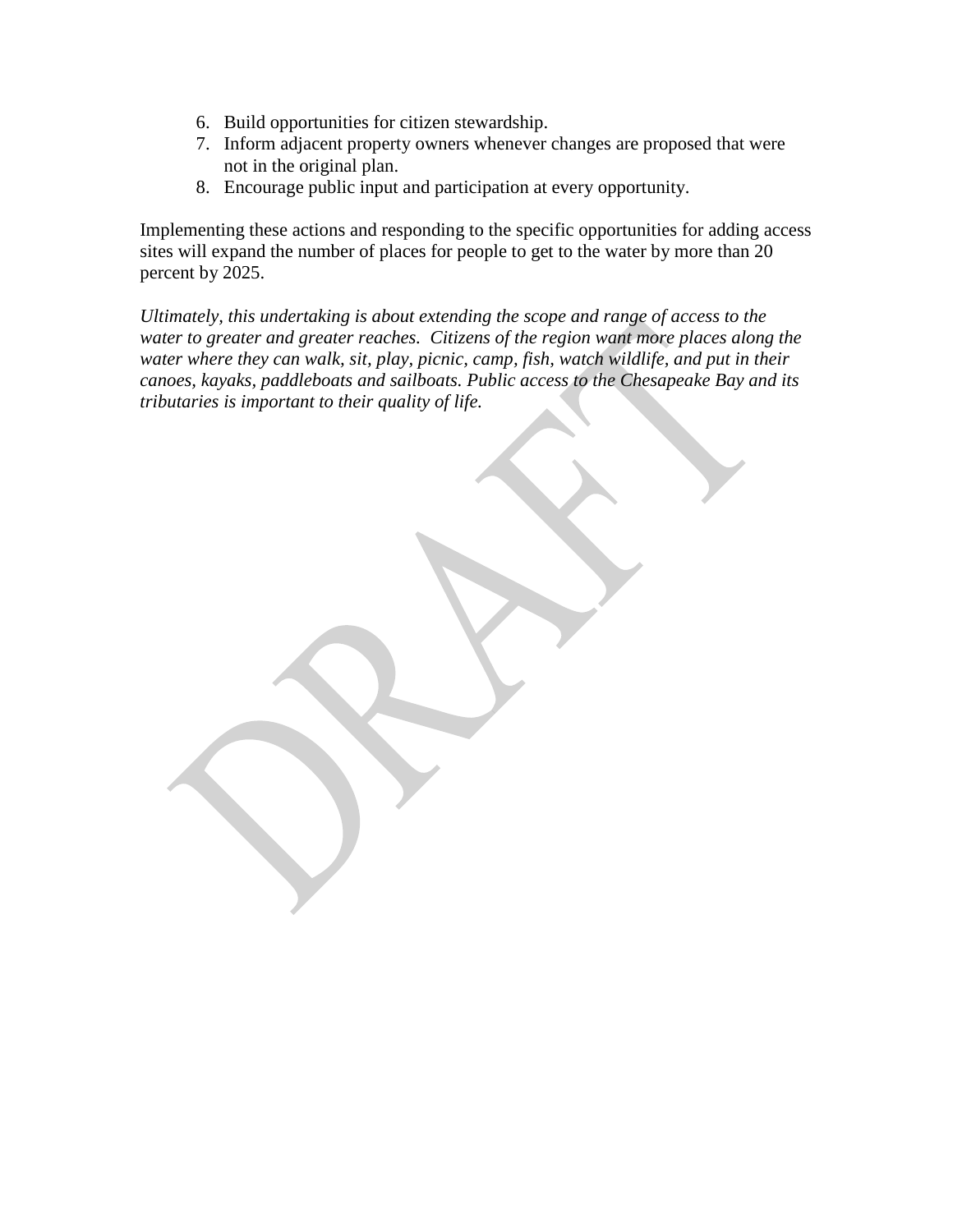- 6. Build opportunities for citizen stewardship.
- 7. Inform adjacent property owners whenever changes are proposed that were not in the original plan.
- 8. Encourage public input and participation at every opportunity.

Implementing these actions and responding to the specific opportunities for adding access sites will expand the number of places for people to get to the water by more than 20 percent by 2025.

*Ultimately, this undertaking is about extending the scope and range of access to the water to greater and greater reaches. Citizens of the region want more places along the water where they can walk, sit, play, picnic, camp, fish, watch wildlife, and put in their canoes, kayaks, paddleboats and sailboats. Public access to the Chesapeake Bay and its tributaries is important to their quality of life.*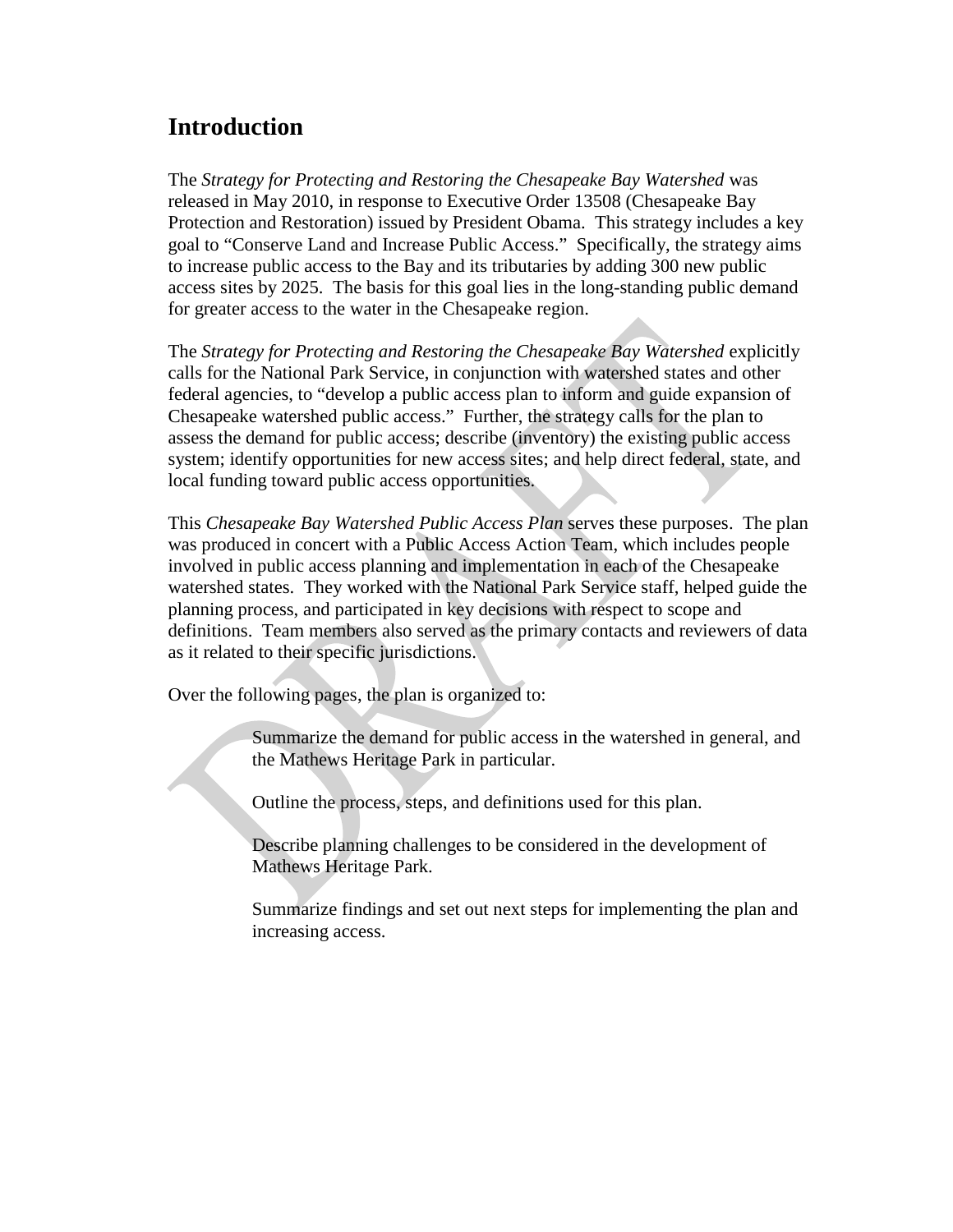## **Introduction**

The *Strategy for Protecting and Restoring the Chesapeake Bay Watershed* was released in May 2010, in response to Executive Order 13508 (Chesapeake Bay Protection and Restoration) issued by President Obama. This strategy includes a key goal to "Conserve Land and Increase Public Access." Specifically, the strategy aims to increase public access to the Bay and its tributaries by adding 300 new public access sites by 2025. The basis for this goal lies in the long-standing public demand for greater access to the water in the Chesapeake region.

The *Strategy for Protecting and Restoring the Chesapeake Bay Watershed* explicitly calls for the National Park Service, in conjunction with watershed states and other federal agencies, to "develop a public access plan to inform and guide expansion of Chesapeake watershed public access." Further, the strategy calls for the plan to assess the demand for public access; describe (inventory) the existing public access system; identify opportunities for new access sites; and help direct federal, state, and local funding toward public access opportunities.

This *Chesapeake Bay Watershed Public Access Plan* serves these purposes. The plan was produced in concert with a Public Access Action Team, which includes people involved in public access planning and implementation in each of the Chesapeake watershed states. They worked with the National Park Service staff, helped guide the planning process, and participated in key decisions with respect to scope and definitions. Team members also served as the primary contacts and reviewers of data as it related to their specific jurisdictions.

Over the following pages, the plan is organized to:

Summarize the demand for public access in the watershed in general, and the Mathews Heritage Park in particular.

Outline the process, steps, and definitions used for this plan.

Describe planning challenges to be considered in the development of Mathews Heritage Park.

Summarize findings and set out next steps for implementing the plan and increasing access.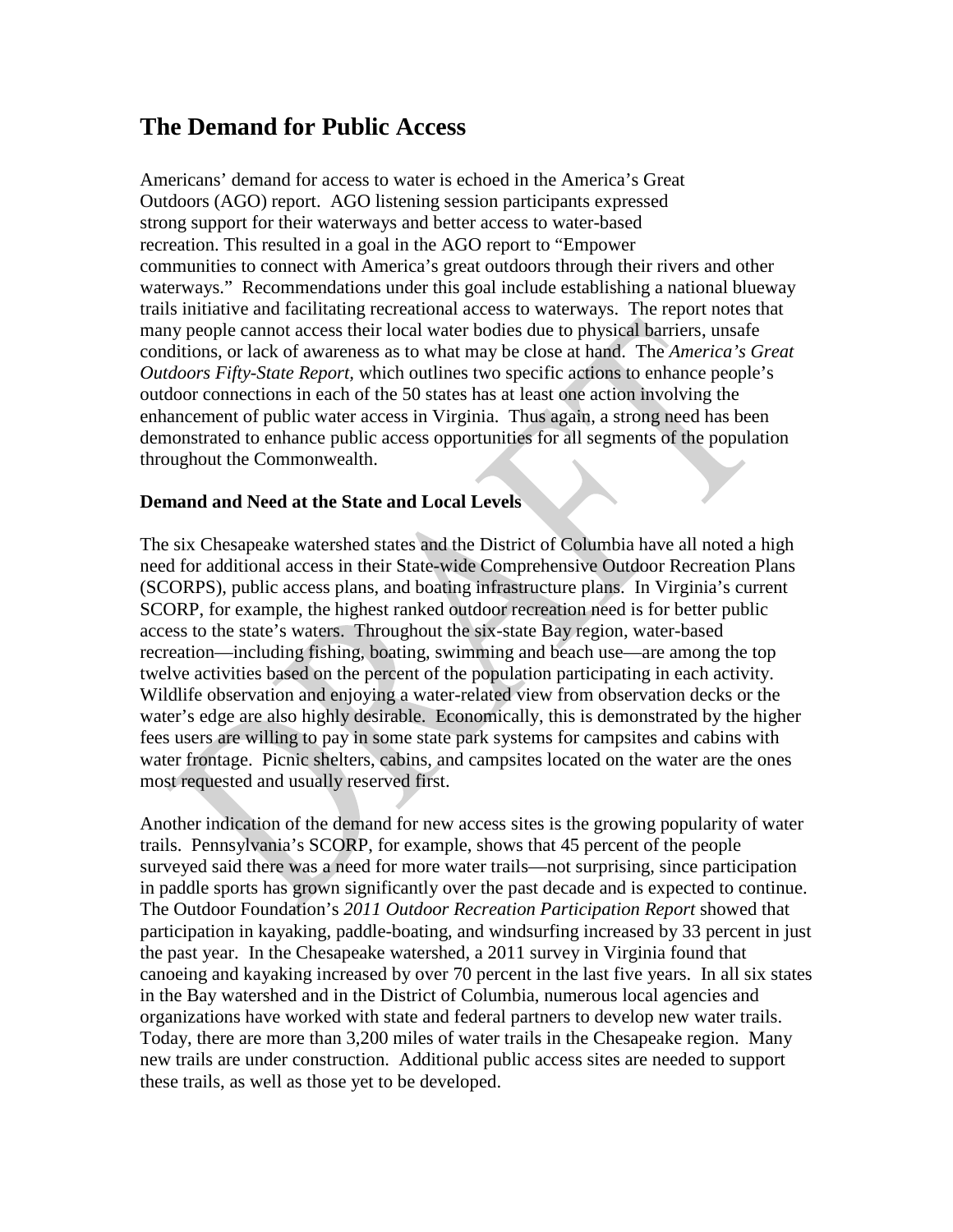### **The Demand for Public Access**

Americans' demand for access to water is echoed in the America's Great Outdoors (AGO) report. AGO listening session participants expressed strong support for their waterways and better access to water-based recreation. This resulted in a goal in the AGO report to "Empower communities to connect with America's great outdoors through their rivers and other waterways." Recommendations under this goal include establishing a national blueway trails initiative and facilitating recreational access to waterways. The report notes that many people cannot access their local water bodies due to physical barriers, unsafe conditions, or lack of awareness as to what may be close at hand. The *America's Great Outdoors Fifty-State Report,* which outlines two specific actions to enhance people's outdoor connections in each of the 50 states has at least one action involving the enhancement of public water access in Virginia. Thus again, a strong need has been demonstrated to enhance public access opportunities for all segments of the population throughout the Commonwealth.

### **Demand and Need at the State and Local Levels**

The six Chesapeake watershed states and the District of Columbia have all noted a high need for additional access in their State-wide Comprehensive Outdoor Recreation Plans (SCORPS), public access plans, and boating infrastructure plans. In Virginia's current SCORP, for example, the highest ranked outdoor recreation need is for better public access to the state's waters. Throughout the six-state Bay region, water-based recreation—including fishing, boating, swimming and beach use—are among the top twelve activities based on the percent of the population participating in each activity. Wildlife observation and enjoying a water-related view from observation decks or the water's edge are also highly desirable. Economically, this is demonstrated by the higher fees users are willing to pay in some state park systems for campsites and cabins with water frontage. Picnic shelters, cabins, and campsites located on the water are the ones most requested and usually reserved first.

Another indication of the demand for new access sites is the growing popularity of water trails. Pennsylvania's SCORP, for example, shows that 45 percent of the people surveyed said there was a need for more water trails—not surprising, since participation in paddle sports has grown significantly over the past decade and is expected to continue. The Outdoor Foundation's *2011 Outdoor Recreation Participation Report* showed that participation in kayaking, paddle-boating, and windsurfing increased by 33 percent in just the past year. In the Chesapeake watershed, a 2011 survey in Virginia found that canoeing and kayaking increased by over 70 percent in the last five years. In all six states in the Bay watershed and in the District of Columbia, numerous local agencies and organizations have worked with state and federal partners to develop new water trails. Today, there are more than 3,200 miles of water trails in the Chesapeake region. Many new trails are under construction. Additional public access sites are needed to support these trails, as well as those yet to be developed.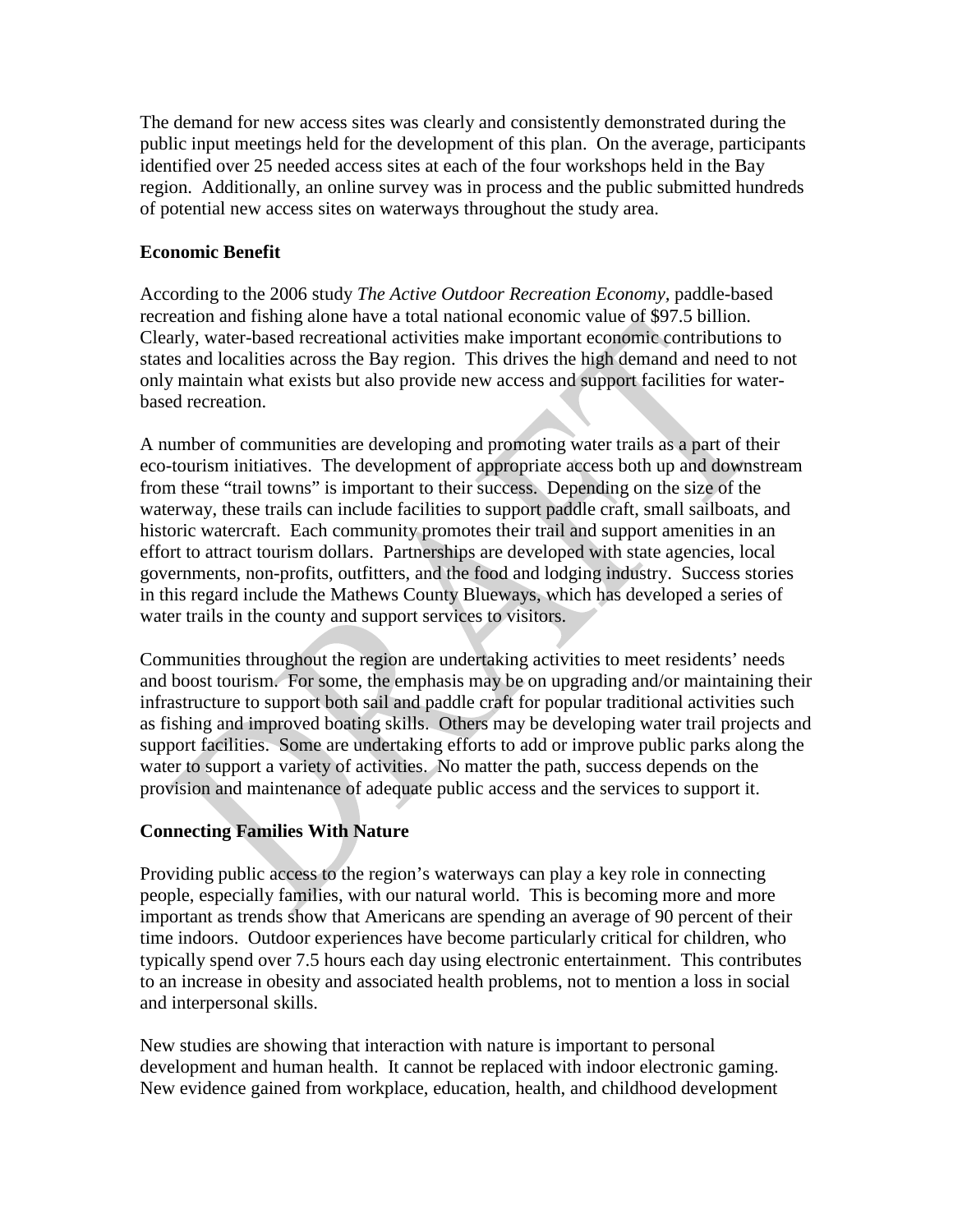The demand for new access sites was clearly and consistently demonstrated during the public input meetings held for the development of this plan. On the average, participants identified over 25 needed access sites at each of the four workshops held in the Bay region. Additionally, an online survey was in process and the public submitted hundreds of potential new access sites on waterways throughout the study area.

### **Economic Benefit**

According to the 2006 study *The Active Outdoor Recreation Economy,* paddle-based recreation and fishing alone have a total national economic value of \$97.5 billion. Clearly, water-based recreational activities make important economic contributions to states and localities across the Bay region. This drives the high demand and need to not only maintain what exists but also provide new access and support facilities for waterbased recreation.

A number of communities are developing and promoting water trails as a part of their eco-tourism initiatives. The development of appropriate access both up and downstream from these "trail towns" is important to their success. Depending on the size of the waterway, these trails can include facilities to support paddle craft, small sailboats, and historic watercraft. Each community promotes their trail and support amenities in an effort to attract tourism dollars. Partnerships are developed with state agencies, local governments, non-profits, outfitters, and the food and lodging industry. Success stories in this regard include the Mathews County Blueways, which has developed a series of water trails in the county and support services to visitors.

Communities throughout the region are undertaking activities to meet residents' needs and boost tourism. For some, the emphasis may be on upgrading and/or maintaining their infrastructure to support both sail and paddle craft for popular traditional activities such as fishing and improved boating skills. Others may be developing water trail projects and support facilities. Some are undertaking efforts to add or improve public parks along the water to support a variety of activities. No matter the path, success depends on the provision and maintenance of adequate public access and the services to support it.

### **Connecting Families With Nature**

Providing public access to the region's waterways can play a key role in connecting people, especially families, with our natural world. This is becoming more and more important as trends show that Americans are spending an average of 90 percent of their time indoors. Outdoor experiences have become particularly critical for children, who typically spend over 7.5 hours each day using electronic entertainment. This contributes to an increase in obesity and associated health problems, not to mention a loss in social and interpersonal skills.

New studies are showing that interaction with nature is important to personal development and human health. It cannot be replaced with indoor electronic gaming. New evidence gained from workplace, education, health, and childhood development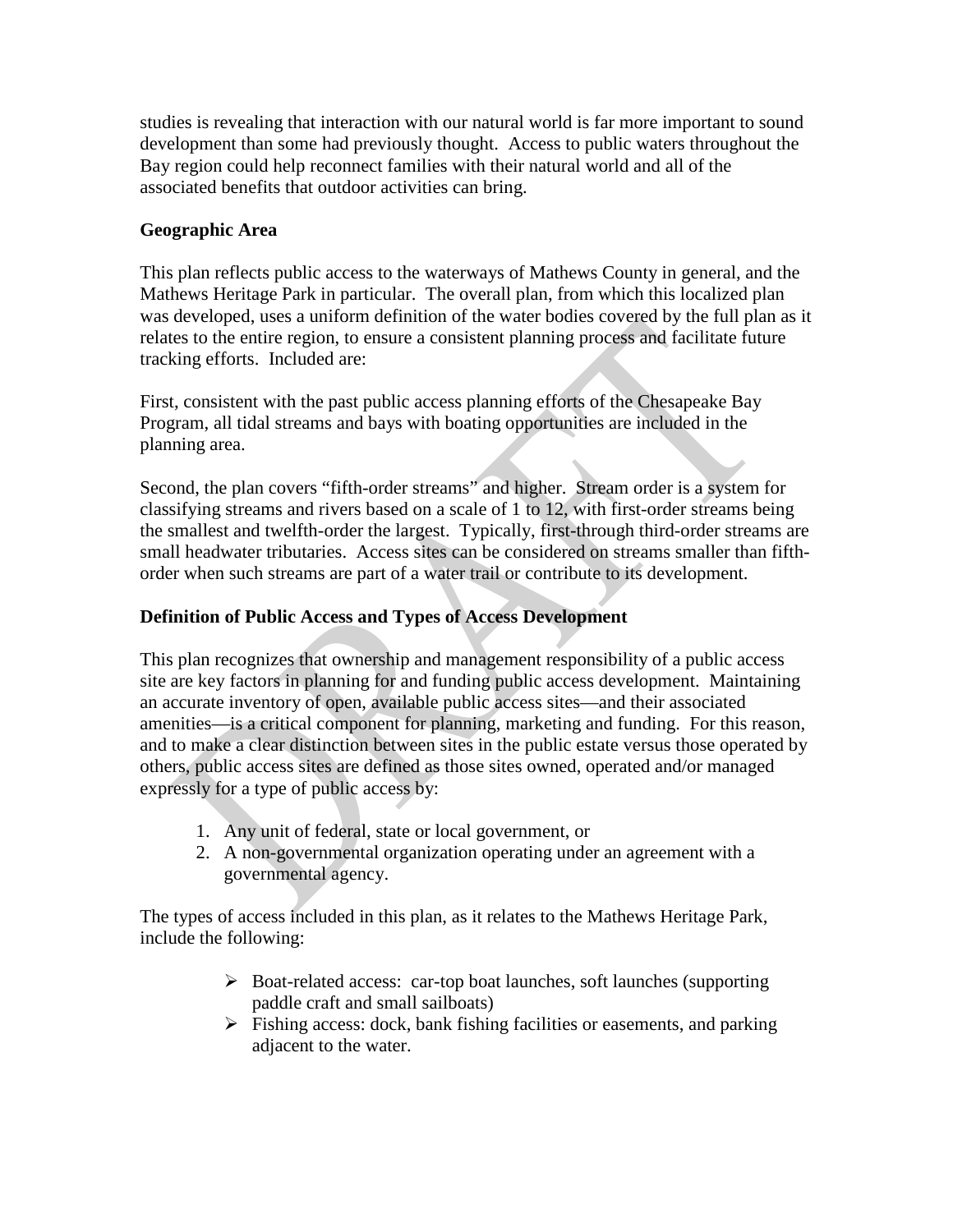studies is revealing that interaction with our natural world is far more important to sound development than some had previously thought. Access to public waters throughout the Bay region could help reconnect families with their natural world and all of the associated benefits that outdoor activities can bring.

### **Geographic Area**

This plan reflects public access to the waterways of Mathews County in general, and the Mathews Heritage Park in particular. The overall plan, from which this localized plan was developed, uses a uniform definition of the water bodies covered by the full plan as it relates to the entire region, to ensure a consistent planning process and facilitate future tracking efforts. Included are:

First, consistent with the past public access planning efforts of the Chesapeake Bay Program, all tidal streams and bays with boating opportunities are included in the planning area.

Second, the plan covers "fifth-order streams" and higher. Stream order is a system for classifying streams and rivers based on a scale of 1 to 12, with first-order streams being the smallest and twelfth-order the largest. Typically, first-through third-order streams are small headwater tributaries. Access sites can be considered on streams smaller than fifthorder when such streams are part of a water trail or contribute to its development.

### **Definition of Public Access and Types of Access Development**

This plan recognizes that ownership and management responsibility of a public access site are key factors in planning for and funding public access development. Maintaining an accurate inventory of open, available public access sites—and their associated amenities—is a critical component for planning, marketing and funding. For this reason, and to make a clear distinction between sites in the public estate versus those operated by others, public access sites are defined as those sites owned, operated and/or managed expressly for a type of public access by:

- 1. Any unit of federal, state or local government, or
- 2. A non-governmental organization operating under an agreement with a governmental agency.

The types of access included in this plan, as it relates to the Mathews Heritage Park, include the following:

- Boat-related access: car-top boat launches, soft launches (supporting paddle craft and small sailboats)
- $\triangleright$  Fishing access: dock, bank fishing facilities or easements, and parking adjacent to the water.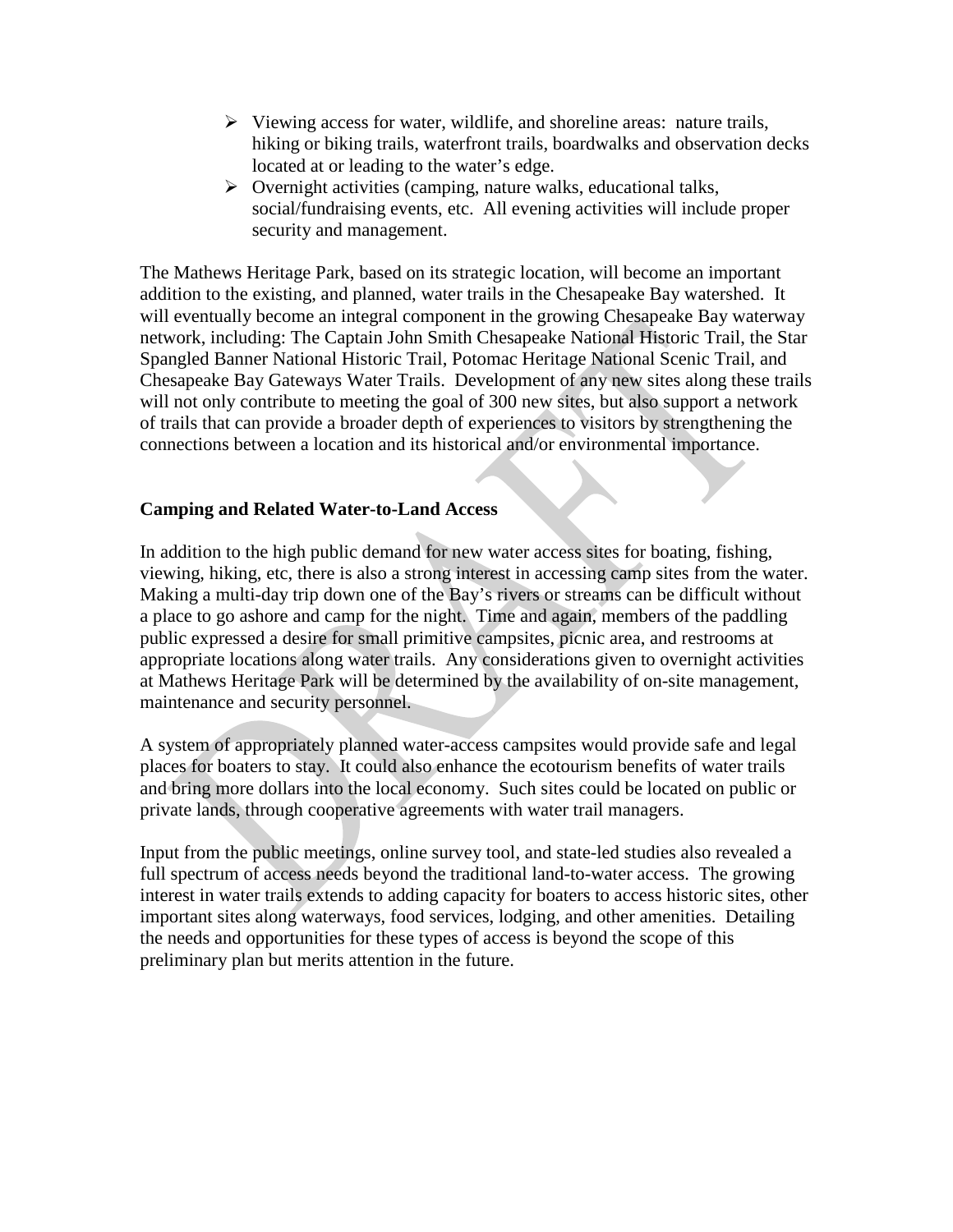- $\triangleright$  Viewing access for water, wildlife, and shoreline areas: nature trails, hiking or biking trails, waterfront trails, boardwalks and observation decks located at or leading to the water's edge.
- $\triangleright$  Overnight activities (camping, nature walks, educational talks, social/fundraising events, etc. All evening activities will include proper security and management.

The Mathews Heritage Park, based on its strategic location, will become an important addition to the existing, and planned, water trails in the Chesapeake Bay watershed. It will eventually become an integral component in the growing Chesapeake Bay waterway network, including: The Captain John Smith Chesapeake National Historic Trail, the Star Spangled Banner National Historic Trail, Potomac Heritage National Scenic Trail, and Chesapeake Bay Gateways Water Trails. Development of any new sites along these trails will not only contribute to meeting the goal of 300 new sites, but also support a network of trails that can provide a broader depth of experiences to visitors by strengthening the connections between a location and its historical and/or environmental importance.

### **Camping and Related Water-to-Land Access**

In addition to the high public demand for new water access sites for boating, fishing, viewing, hiking, etc, there is also a strong interest in accessing camp sites from the water. Making a multi-day trip down one of the Bay's rivers or streams can be difficult without a place to go ashore and camp for the night. Time and again, members of the paddling public expressed a desire for small primitive campsites, picnic area, and restrooms at appropriate locations along water trails. Any considerations given to overnight activities at Mathews Heritage Park will be determined by the availability of on-site management, maintenance and security personnel.

A system of appropriately planned water-access campsites would provide safe and legal places for boaters to stay. It could also enhance the ecotourism benefits of water trails and bring more dollars into the local economy. Such sites could be located on public or private lands, through cooperative agreements with water trail managers.

Input from the public meetings, online survey tool, and state-led studies also revealed a full spectrum of access needs beyond the traditional land-to-water access. The growing interest in water trails extends to adding capacity for boaters to access historic sites, other important sites along waterways, food services, lodging, and other amenities. Detailing the needs and opportunities for these types of access is beyond the scope of this preliminary plan but merits attention in the future.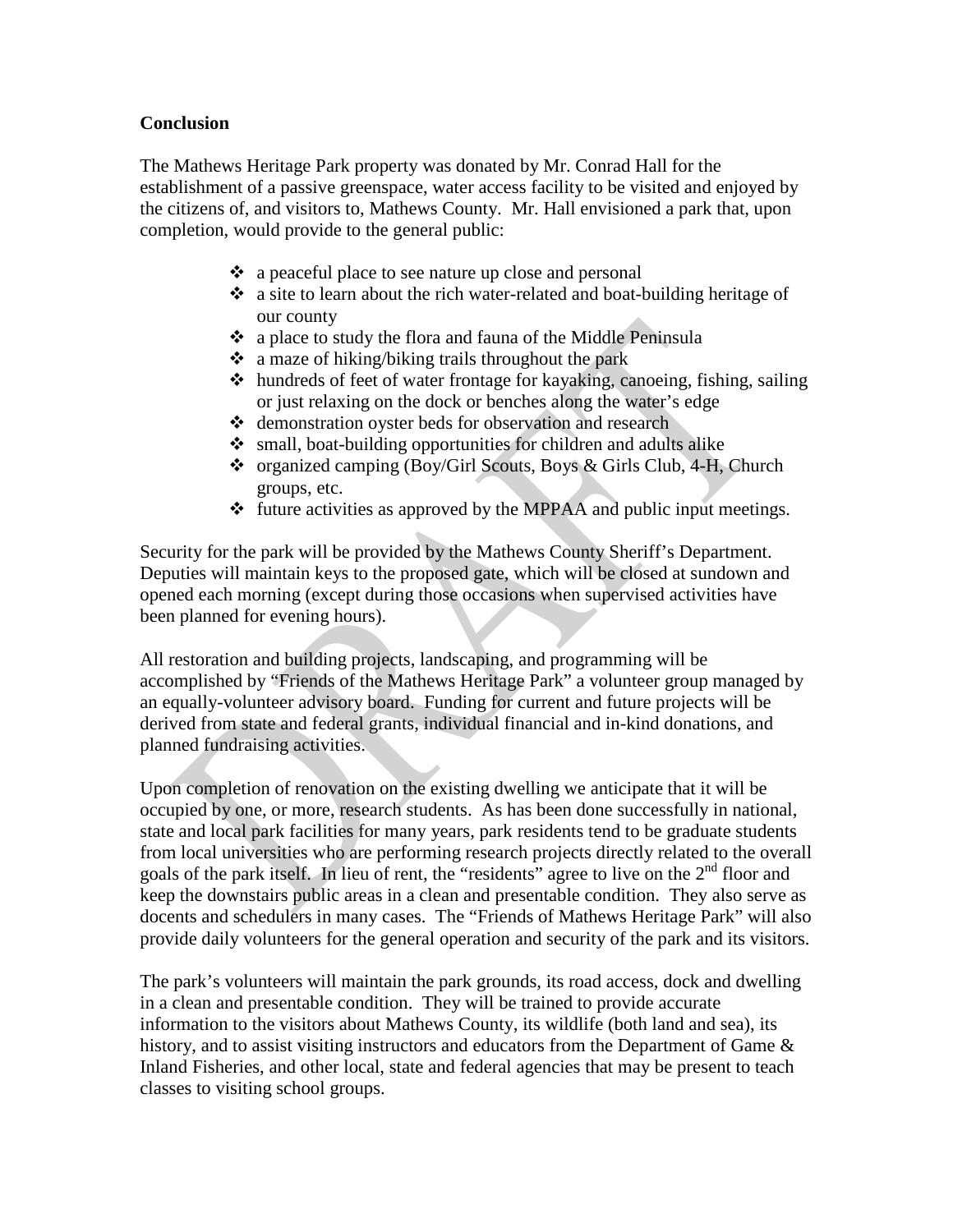### **Conclusion**

The Mathews Heritage Park property was donated by Mr. Conrad Hall for the establishment of a passive greenspace, water access facility to be visited and enjoyed by the citizens of, and visitors to, Mathews County. Mr. Hall envisioned a park that, upon completion, would provide to the general public:

- ❖ a peaceful place to see nature up close and personal
- a site to learn about the rich water-related and boat-building heritage of our county
- a place to study the flora and fauna of the Middle Peninsula
- $\bullet$  a maze of hiking/biking trails throughout the park
- hundreds of feet of water frontage for kayaking, canoeing, fishing, sailing or just relaxing on the dock or benches along the water's edge
- demonstration oyster beds for observation and research
- small, boat-building opportunities for children and adults alike
- organized camping (Boy/Girl Scouts, Boys & Girls Club, 4-H, Church groups, etc.
- $\div$  future activities as approved by the MPPAA and public input meetings.

Security for the park will be provided by the Mathews County Sheriff's Department. Deputies will maintain keys to the proposed gate, which will be closed at sundown and opened each morning (except during those occasions when supervised activities have been planned for evening hours).

All restoration and building projects, landscaping, and programming will be accomplished by "Friends of the Mathews Heritage Park" a volunteer group managed by an equally-volunteer advisory board. Funding for current and future projects will be derived from state and federal grants, individual financial and in-kind donations, and planned fundraising activities.

Upon completion of renovation on the existing dwelling we anticipate that it will be occupied by one, or more, research students. As has been done successfully in national, state and local park facilities for many years, park residents tend to be graduate students from local universities who are performing research projects directly related to the overall goals of the park itself. In lieu of rent, the "residents" agree to live on the  $2<sup>nd</sup>$  floor and keep the downstairs public areas in a clean and presentable condition. They also serve as docents and schedulers in many cases. The "Friends of Mathews Heritage Park" will also provide daily volunteers for the general operation and security of the park and its visitors.

The park's volunteers will maintain the park grounds, its road access, dock and dwelling in a clean and presentable condition. They will be trained to provide accurate information to the visitors about Mathews County, its wildlife (both land and sea), its history, and to assist visiting instructors and educators from the Department of Game  $\&$ Inland Fisheries, and other local, state and federal agencies that may be present to teach classes to visiting school groups.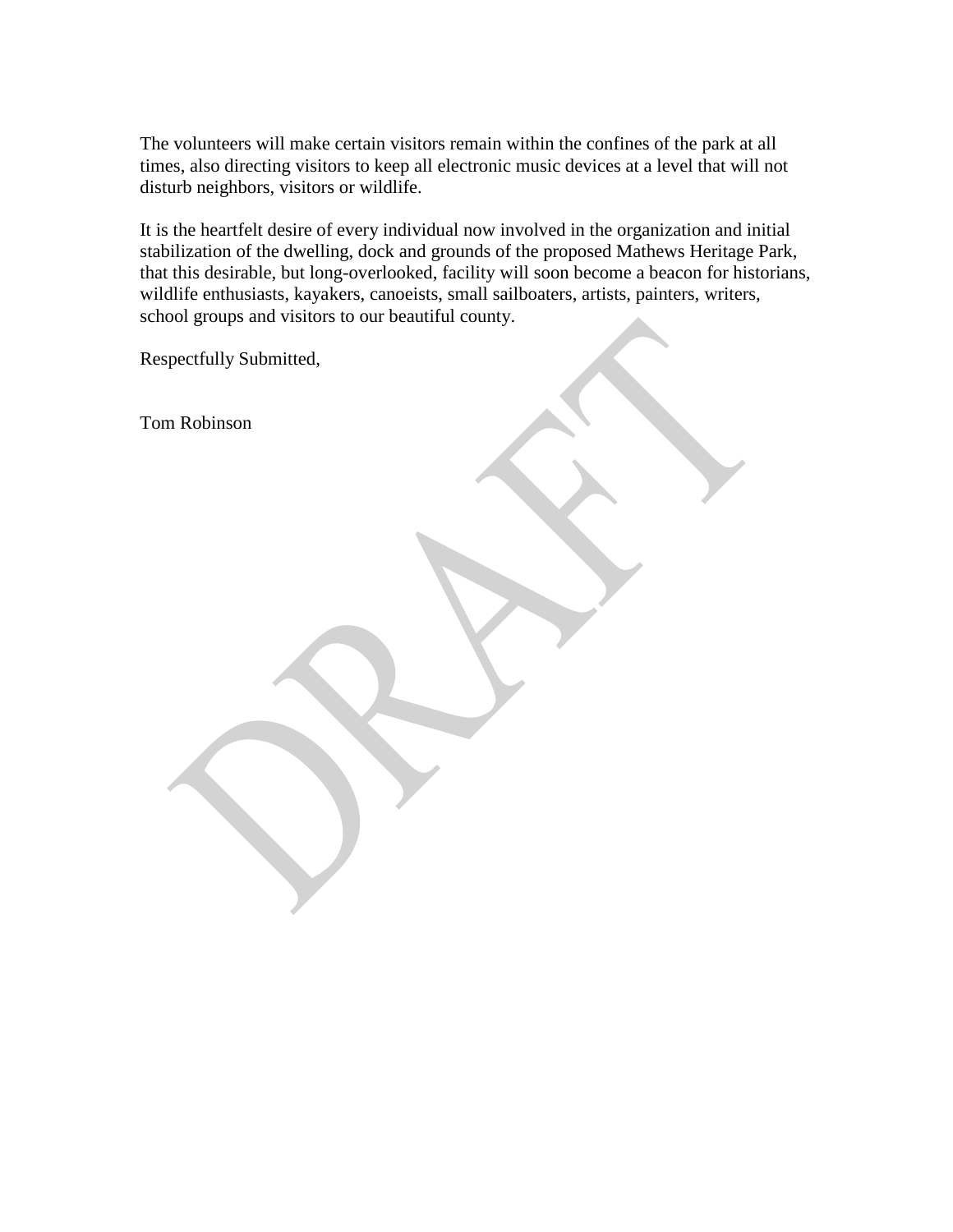The volunteers will make certain visitors remain within the confines of the park at all times, also directing visitors to keep all electronic music devices at a level that will not disturb neighbors, visitors or wildlife.

It is the heartfelt desire of every individual now involved in the organization and initial stabilization of the dwelling, dock and grounds of the proposed Mathews Heritage Park, that this desirable, but long-overlooked, facility will soon become a beacon for historians, wildlife enthusiasts, kayakers, canoeists, small sailboaters, artists, painters, writers, school groups and visitors to our beautiful county.

Respectfully Submitted,

Tom Robinson